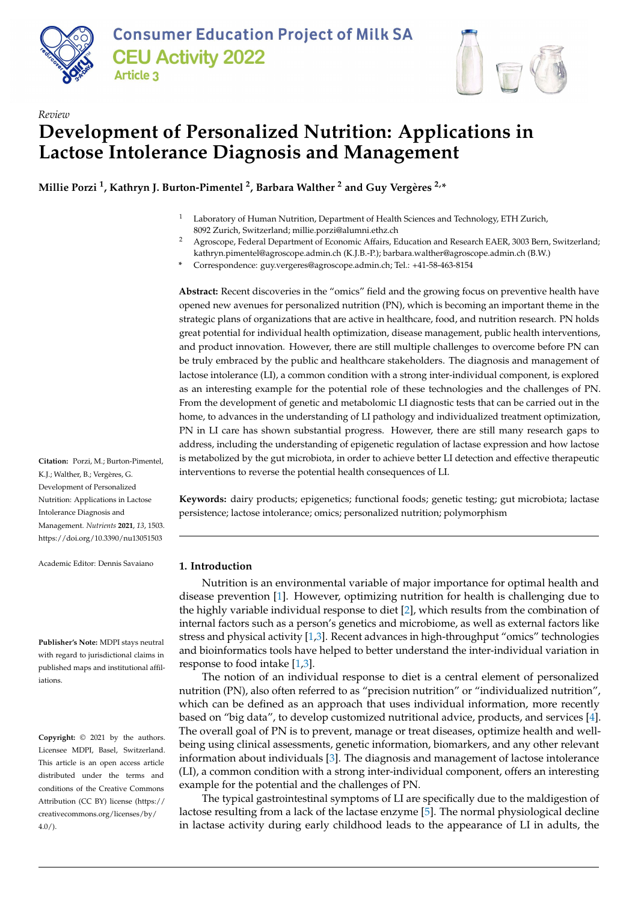



# *Review* **Development of Personalized Nutrition: Applications in Lactose Intolerance Diagnosis and Management**

**Millie Porzi <sup>1</sup> , Kathryn J. Burton-Pimentel <sup>2</sup> , Barbara Walther <sup>2</sup> and Guy Vergères 2,\***

- <sup>1</sup> Laboratory of Human Nutrition, Department of Health Sciences and Technology, ETH Zurich, 8092 Zurich, Switzerland; millie.porzi@alumni.ethz.ch
- <sup>2</sup> Agroscope, Federal Department of Economic Affairs, Education and Research EAER, 3003 Bern, Switzerland; kathryn.pimentel@agroscope.admin.ch (K.J.B.-P.); barbara.walther@agroscope.admin.ch (B.W.)
- **\*** Correspondence: guy.vergeres@agroscope.admin.ch; Tel.: +41-58-463-8154

**Abstract:** Recent discoveries in the "omics" field and the growing focus on preventive health have opened new avenues for personalized nutrition (PN), which is becoming an important theme in the strategic plans of organizations that are active in healthcare, food, and nutrition research. PN holds great potential for individual health optimization, disease management, public health interventions, and product innovation. However, there are still multiple challenges to overcome before PN can be truly embraced by the public and healthcare stakeholders. The diagnosis and management of lactose intolerance (LI), a common condition with a strong inter-individual component, is explored as an interesting example for the potential role of these technologies and the challenges of PN. From the development of genetic and metabolomic LI diagnostic tests that can be carried out in the home, to advances in the understanding of LI pathology and individualized treatment optimization, PN in LI care has shown substantial progress. However, there are still many research gaps to address, including the understanding of epigenetic regulation of lactase expression and how lactose is metabolized by the gut microbiota, in order to achieve better LI detection and effective therapeutic interventions to reverse the potential health consequences of LI.

**Keywords:** dairy products; epigenetics; functional foods; genetic testing; gut microbiota; lactase persistence; lactose intolerance; omics; personalized nutrition; polymorphism

## **1. Introduction**

Nutrition is an environmental variable of major importance for optimal health and disease prevention [\[1\]](#page-14-0). However, optimizing nutrition for health is challenging due to the highly variable individual response to diet [\[2\]](#page-14-1), which results from the combination of internal factors such as a person's genetics and microbiome, as well as external factors like stress and physical activity [\[1](#page-14-0)[,3\]](#page-14-2). Recent advances in high-throughput "omics" technologies and bioinformatics tools have helped to better understand the inter-individual variation in response to food intake [\[1,](#page-14-0)[3\]](#page-14-2).

The notion of an individual response to diet is a central element of personalized nutrition (PN), also often referred to as "precision nutrition" or "individualized nutrition", which can be defined as an approach that uses individual information, more recently based on "big data", to develop customized nutritional advice, products, and services [\[4\]](#page-14-3). The overall goal of PN is to prevent, manage or treat diseases, optimize health and wellbeing using clinical assessments, genetic information, biomarkers, and any other relevant information about individuals [\[3\]](#page-14-2). The diagnosis and management of lactose intolerance (LI), a common condition with a strong inter-individual component, offers an interesting example for the potential and the challenges of PN.

The typical gastrointestinal symptoms of LI are specifically due to the maldigestion of lactose resulting from a lack of the lactase enzyme [\[5\]](#page-14-4). The normal physiological decline in lactase activity during early childhood leads to the appearance of LI in adults, the

**Citation:** Porzi, M.; Burton-Pimentel, K.J.; Walther, B.; Vergères, G. Development of Personalized Nutrition: Applications in Lactose Intolerance Diagnosis and Management. *Nutrients* **2021**, *13*, 1503. <https://doi.org/10.3390/nu13051503>

Academic Editor: Dennis Savaiano

**Publisher's Note:** MDPI stays neutral with regard to jurisdictional claims in published maps and institutional affiliations.

**Copyright:** © 2021 by the authors. Licensee MDPI, Basel, Switzerland. This article is an open access article distributed under the terms and conditions of the Creative Commons Attribution (CC BY) license (https:/[/](https://creativecommons.org/licenses/by/4.0/) [creativecommons.org/licenses/by/](https://creativecommons.org/licenses/by/4.0/) 4.0/).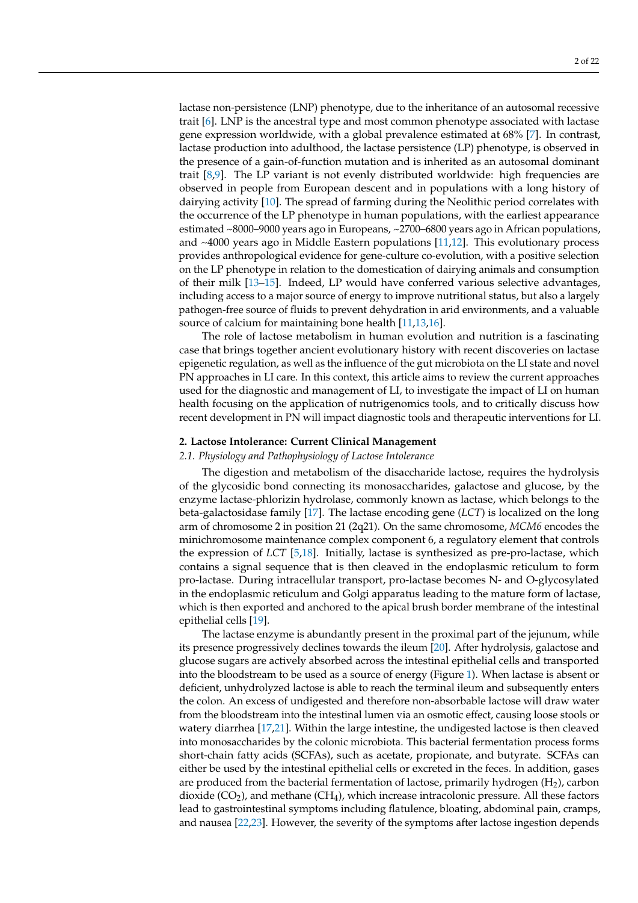lactase non-persistence (LNP) phenotype, due to the inheritance of an autosomal recessive trait [\[6\]](#page-14-5). LNP is the ancestral type and most common phenotype associated with lactase gene expression worldwide, with a global prevalence estimated at 68% [\[7\]](#page-14-6). In contrast, lactase production into adulthood, the lactase persistence (LP) phenotype, is observed in the presence of a gain-of-function mutation and is inherited as an autosomal dominant trait [\[8,](#page-14-7)[9\]](#page-14-8). The LP variant is not evenly distributed worldwide: high frequencies are observed in people from European descent and in populations with a long history of dairying activity [\[10\]](#page-14-9). The spread of farming during the Neolithic period correlates with the occurrence of the LP phenotype in human populations, with the earliest appearance estimated ~8000–9000 years ago in Europeans, ~2700–6800 years ago in African populations, and ~4000 years ago in Middle Eastern populations [\[11](#page-14-10)[,12\]](#page-14-11). This evolutionary process provides anthropological evidence for gene-culture co-evolution, with a positive selection on the LP phenotype in relation to the domestication of dairying animals and consumption of their milk [\[13–](#page-14-12)[15\]](#page-14-13). Indeed, LP would have conferred various selective advantages, including access to a major source of energy to improve nutritional status, but also a largely pathogen-free source of fluids to prevent dehydration in arid environments, and a valuable source of calcium for maintaining bone health [\[11,](#page-14-10)[13,](#page-14-12)[16\]](#page-14-14).

The role of lactose metabolism in human evolution and nutrition is a fascinating case that brings together ancient evolutionary history with recent discoveries on lactase epigenetic regulation, as well as the influence of the gut microbiota on the LI state and novel PN approaches in LI care. In this context, this article aims to review the current approaches used for the diagnostic and management of LI, to investigate the impact of LI on human health focusing on the application of nutrigenomics tools, and to critically discuss how recent development in PN will impact diagnostic tools and therapeutic interventions for LI.

## **2. Lactose Intolerance: Current Clinical Management**

# *2.1. Physiology and Pathophysiology of Lactose Intolerance*

The digestion and metabolism of the disaccharide lactose, requires the hydrolysis of the glycosidic bond connecting its monosaccharides, galactose and glucose, by the enzyme lactase-phlorizin hydrolase, commonly known as lactase, which belongs to the beta-galactosidase family [\[17\]](#page-14-15). The lactase encoding gene (*LCT*) is localized on the long arm of chromosome 2 in position 21 (2q21). On the same chromosome, *MCM6* encodes the minichromosome maintenance complex component 6, a regulatory element that controls the expression of *LCT* [\[5](#page-14-4)[,18\]](#page-14-16). Initially, lactase is synthesized as pre-pro-lactase, which contains a signal sequence that is then cleaved in the endoplasmic reticulum to form pro-lactase. During intracellular transport, pro-lactase becomes N- and O-glycosylated in the endoplasmic reticulum and Golgi apparatus leading to the mature form of lactase, which is then exported and anchored to the apical brush border membrane of the intestinal epithelial cells [\[19\]](#page-14-17).

The lactase enzyme is abundantly present in the proximal part of the jejunum, while its presence progressively declines towards the ileum [\[20\]](#page-14-18). After hydrolysis, galactose and glucose sugars are actively absorbed across the intestinal epithelial cells and transported into the bloodstream to be used as a source of energy (Figure [1\)](#page-2-0). When lactase is absent or deficient, unhydrolyzed lactose is able to reach the terminal ileum and subsequently enters the colon. An excess of undigested and therefore non-absorbable lactose will draw water from the bloodstream into the intestinal lumen via an osmotic effect, causing loose stools or watery diarrhea [\[17,](#page-14-15)[21\]](#page-14-19). Within the large intestine, the undigested lactose is then cleaved into monosaccharides by the colonic microbiota. This bacterial fermentation process forms short-chain fatty acids (SCFAs), such as acetate, propionate, and butyrate. SCFAs can either be used by the intestinal epithelial cells or excreted in the feces. In addition, gases are produced from the bacterial fermentation of lactose, primarily hydrogen  $(H<sub>2</sub>)$ , carbon dioxide  $(CO<sub>2</sub>)$ , and methane  $(CH<sub>4</sub>)$ , which increase intracolonic pressure. All these factors lead to gastrointestinal symptoms including flatulence, bloating, abdominal pain, cramps, and nausea [\[22,](#page-14-20)[23\]](#page-14-21). However, the severity of the symptoms after lactose ingestion depends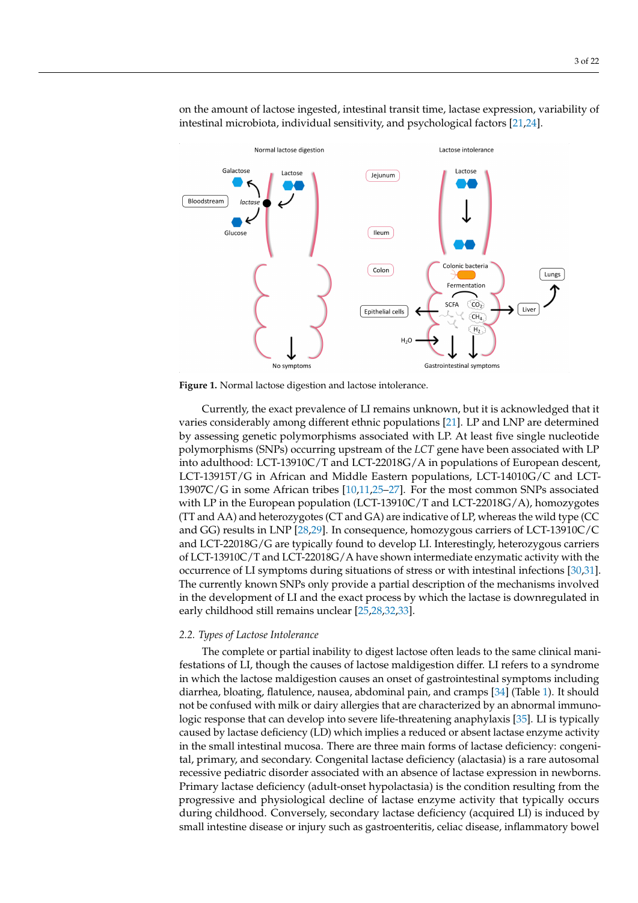<span id="page-2-0"></span>

on the amount of lactose ingested, intestinal transit time, lactase expression, variability of intestinal microbiota, individual sensitivity, and psychological factors [\[21,](#page-14-19)[24\]](#page-14-22).

**Figure 1.** Normal lactose digestion and lactose intolerance.

Currently, the exact prevalence of LI remains unknown, but it is acknowledged that it varies considerably among different ethnic populations [\[21\]](#page-14-19). LP and LNP are determined by assessing genetic polymorphisms associated with LP. At least five single nucleotide polymorphisms (SNPs) occurring upstream of the *LCT* gene have been associated with LP into adulthood: LCT-13910C/T and LCT-22018G/A in populations of European descent, LCT-13915T/G in African and Middle Eastern populations, LCT-14010G/C and LCT-13907C/G in some African tribes [\[10](#page-14-9)[,11](#page-14-10)[,25–](#page-14-23)[27\]](#page-14-24). For the most common SNPs associated with LP in the European population (LCT-13910C/T and LCT-22018G/A), homozygotes (TT and AA) and heterozygotes (CT and GA) are indicative of LP, whereas the wild type (CC and GG) results in LNP [\[28,](#page-14-25)[29\]](#page-15-0). In consequence, homozygous carriers of LCT-13910C/C and LCT-22018G/G are typically found to develop LI. Interestingly, heterozygous carriers of LCT-13910C/T and LCT-22018G/A have shown intermediate enzymatic activity with the occurrence of LI symptoms during situations of stress or with intestinal infections [\[30,](#page-15-1)[31\]](#page-15-2). The currently known SNPs only provide a partial description of the mechanisms involved in the development of LI and the exact process by which the lactase is downregulated in early childhood still remains unclear [\[25,](#page-14-23)[28,](#page-14-25)[32,](#page-15-3)[33\]](#page-15-4).

#### *2.2. Types of Lactose Intolerance*

The complete or partial inability to digest lactose often leads to the same clinical manifestations of LI, though the causes of lactose maldigestion differ. LI refers to a syndrome in which the lactose maldigestion causes an onset of gastrointestinal symptoms including diarrhea, bloating, flatulence, nausea, abdominal pain, and cramps [\[34\]](#page-15-5) (Table [1\)](#page-3-0). It should not be confused with milk or dairy allergies that are characterized by an abnormal immunologic response that can develop into severe life-threatening anaphylaxis [\[35\]](#page-15-6). LI is typically caused by lactase deficiency (LD) which implies a reduced or absent lactase enzyme activity in the small intestinal mucosa. There are three main forms of lactase deficiency: congenital, primary, and secondary. Congenital lactase deficiency (alactasia) is a rare autosomal recessive pediatric disorder associated with an absence of lactase expression in newborns. Primary lactase deficiency (adult-onset hypolactasia) is the condition resulting from the progressive and physiological decline of lactase enzyme activity that typically occurs during childhood. Conversely, secondary lactase deficiency (acquired LI) is induced by small intestine disease or injury such as gastroenteritis, celiac disease, inflammatory bowel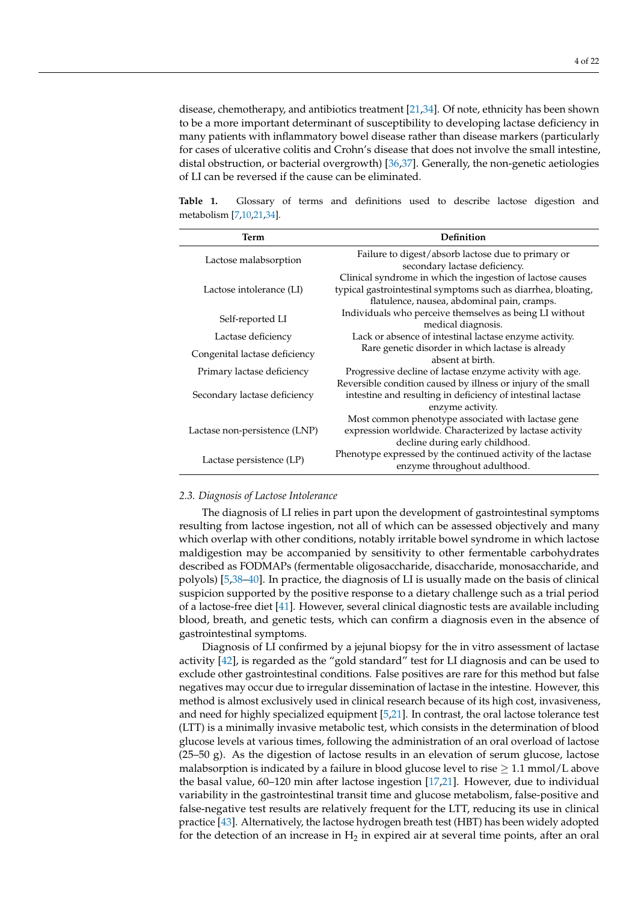many patients with inflammatory bowel disease rather than disease markers (particularly for cases of ulcerative colitis and Crohn's disease that does not involve the small intestine, distal obstruction, or bacterial overgrowth) [\[36,](#page-15-7)[37\]](#page-15-8). Generally, the non-genetic aetiologies of LI can be reversed if the cause can be eliminated.

<span id="page-3-0"></span>**Table 1.** Glossary of terms and definitions used to describe lactose digestion and metabolism [\[7](#page-14-6)[,10,](#page-14-9)[21,](#page-14-19)[34\]](#page-15-5).

| Term                          | Definition                                                    |  |  |
|-------------------------------|---------------------------------------------------------------|--|--|
| Lactose malabsorption         | Failure to digest/absorb lactose due to primary or            |  |  |
|                               | secondary lactase deficiency.                                 |  |  |
| Lactose intolerance (LI)      | Clinical syndrome in which the ingestion of lactose causes    |  |  |
|                               | typical gastrointestinal symptoms such as diarrhea, bloating, |  |  |
|                               | flatulence, nausea, abdominal pain, cramps.                   |  |  |
| Self-reported LI              | Individuals who perceive themselves as being LI without       |  |  |
|                               | medical diagnosis.                                            |  |  |
| Lactase deficiency            | Lack or absence of intestinal lactase enzyme activity.        |  |  |
| Congenital lactase deficiency | Rare genetic disorder in which lactase is already             |  |  |
|                               | absent at birth.                                              |  |  |
| Primary lactase deficiency    | Progressive decline of lactase enzyme activity with age.      |  |  |
| Secondary lactase deficiency  | Reversible condition caused by illness or injury of the small |  |  |
|                               | intestine and resulting in deficiency of intestinal lactase   |  |  |
|                               | enzyme activity.                                              |  |  |
| Lactase non-persistence (LNP) | Most common phenotype associated with lactase gene            |  |  |
|                               | expression worldwide. Characterized by lactase activity       |  |  |
|                               | decline during early childhood.                               |  |  |
| Lactase persistence (LP)      | Phenotype expressed by the continued activity of the lactase  |  |  |
|                               | enzyme throughout adulthood.                                  |  |  |
|                               |                                                               |  |  |

## *2.3. Diagnosis of Lactose Intolerance*

The diagnosis of LI relies in part upon the development of gastrointestinal symptoms resulting from lactose ingestion, not all of which can be assessed objectively and many which overlap with other conditions, notably irritable bowel syndrome in which lactose maldigestion may be accompanied by sensitivity to other fermentable carbohydrates described as FODMAPs (fermentable oligosaccharide, disaccharide, monosaccharide, and polyols) [\[5,](#page-14-4)[38–](#page-15-9)[40\]](#page-15-10). In practice, the diagnosis of LI is usually made on the basis of clinical suspicion supported by the positive response to a dietary challenge such as a trial period of a lactose-free diet [\[41\]](#page-15-11). However, several clinical diagnostic tests are available including blood, breath, and genetic tests, which can confirm a diagnosis even in the absence of gastrointestinal symptoms.

Diagnosis of LI confirmed by a jejunal biopsy for the in vitro assessment of lactase activity [\[42\]](#page-15-12), is regarded as the "gold standard" test for LI diagnosis and can be used to exclude other gastrointestinal conditions. False positives are rare for this method but false negatives may occur due to irregular dissemination of lactase in the intestine. However, this method is almost exclusively used in clinical research because of its high cost, invasiveness, and need for highly specialized equipment [\[5](#page-14-4)[,21\]](#page-14-19). In contrast, the oral lactose tolerance test (LTT) is a minimally invasive metabolic test, which consists in the determination of blood glucose levels at various times, following the administration of an oral overload of lactose  $(25-50 \text{ g})$ . As the digestion of lactose results in an elevation of serum glucose, lactose malabsorption is indicated by a failure in blood glucose level to rise  $\geq 1.1$  mmol/L above the basal value, 60–120 min after lactose ingestion [\[17,](#page-14-15)[21\]](#page-14-19). However, due to individual variability in the gastrointestinal transit time and glucose metabolism, false-positive and false-negative test results are relatively frequent for the LTT, reducing its use in clinical practice [\[43\]](#page-15-13). Alternatively, the lactose hydrogen breath test (HBT) has been widely adopted for the detection of an increase in  $H_2$  in expired air at several time points, after an oral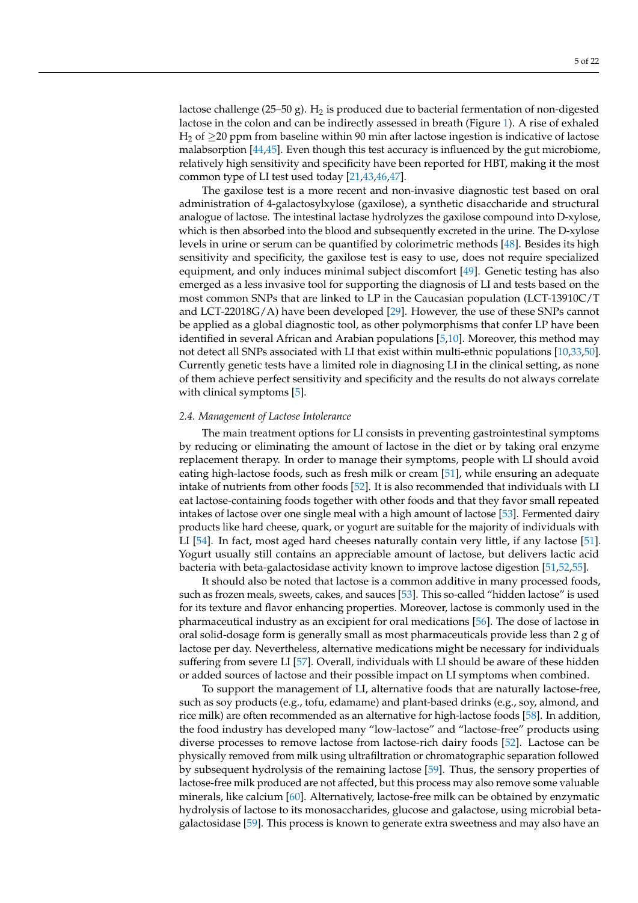lactose challenge (25–50 g).  $H_2$  is produced due to bacterial fermentation of non-digested lactose in the colon and can be indirectly assessed in breath (Figure [1\)](#page-2-0). A rise of exhaled H<sub>2</sub> of  $\geq$ 20 ppm from baseline within 90 min after lactose ingestion is indicative of lactose malabsorption [\[44](#page-15-14)[,45\]](#page-15-15). Even though this test accuracy is influenced by the gut microbiome, relatively high sensitivity and specificity have been reported for HBT, making it the most common type of LI test used today [\[21](#page-14-19)[,43](#page-15-13)[,46,](#page-15-16)[47\]](#page-15-17).

The gaxilose test is a more recent and non-invasive diagnostic test based on oral administration of 4-galactosylxylose (gaxilose), a synthetic disaccharide and structural analogue of lactose. The intestinal lactase hydrolyzes the gaxilose compound into D-xylose, which is then absorbed into the blood and subsequently excreted in the urine. The D-xylose levels in urine or serum can be quantified by colorimetric methods [\[48\]](#page-15-18). Besides its high sensitivity and specificity, the gaxilose test is easy to use, does not require specialized equipment, and only induces minimal subject discomfort [\[49\]](#page-15-19). Genetic testing has also emerged as a less invasive tool for supporting the diagnosis of LI and tests based on the most common SNPs that are linked to LP in the Caucasian population (LCT-13910C/T and LCT-22018G/A) have been developed [\[29\]](#page-15-0). However, the use of these SNPs cannot be applied as a global diagnostic tool, as other polymorphisms that confer LP have been identified in several African and Arabian populations [\[5,](#page-14-4)[10\]](#page-14-9). Moreover, this method may not detect all SNPs associated with LI that exist within multi-ethnic populations [\[10](#page-14-9)[,33](#page-15-4)[,50\]](#page-15-20). Currently genetic tests have a limited role in diagnosing LI in the clinical setting, as none of them achieve perfect sensitivity and specificity and the results do not always correlate with clinical symptoms [\[5\]](#page-14-4).

## *2.4. Management of Lactose Intolerance*

The main treatment options for LI consists in preventing gastrointestinal symptoms by reducing or eliminating the amount of lactose in the diet or by taking oral enzyme replacement therapy. In order to manage their symptoms, people with LI should avoid eating high-lactose foods, such as fresh milk or cream [\[51\]](#page-15-21), while ensuring an adequate intake of nutrients from other foods [\[52\]](#page-15-22). It is also recommended that individuals with LI eat lactose-containing foods together with other foods and that they favor small repeated intakes of lactose over one single meal with a high amount of lactose [\[53\]](#page-15-23). Fermented dairy products like hard cheese, quark, or yogurt are suitable for the majority of individuals with LI [\[54\]](#page-15-24). In fact, most aged hard cheeses naturally contain very little, if any lactose [\[51\]](#page-15-21). Yogurt usually still contains an appreciable amount of lactose, but delivers lactic acid bacteria with beta-galactosidase activity known to improve lactose digestion [\[51,](#page-15-21)[52,](#page-15-22)[55\]](#page-15-25).

It should also be noted that lactose is a common additive in many processed foods, such as frozen meals, sweets, cakes, and sauces [\[53\]](#page-15-23). This so-called "hidden lactose" is used for its texture and flavor enhancing properties. Moreover, lactose is commonly used in the pharmaceutical industry as an excipient for oral medications [\[56\]](#page-15-26). The dose of lactose in oral solid-dosage form is generally small as most pharmaceuticals provide less than 2 g of lactose per day. Nevertheless, alternative medications might be necessary for individuals suffering from severe LI [\[57\]](#page-15-27). Overall, individuals with LI should be aware of these hidden or added sources of lactose and their possible impact on LI symptoms when combined.

To support the management of LI, alternative foods that are naturally lactose-free, such as soy products (e.g., tofu, edamame) and plant-based drinks (e.g., soy, almond, and rice milk) are often recommended as an alternative for high-lactose foods [\[58\]](#page-16-0). In addition, the food industry has developed many "low-lactose" and "lactose-free" products using diverse processes to remove lactose from lactose-rich dairy foods [\[52\]](#page-15-22). Lactose can be physically removed from milk using ultrafiltration or chromatographic separation followed by subsequent hydrolysis of the remaining lactose [\[59\]](#page-16-1). Thus, the sensory properties of lactose-free milk produced are not affected, but this process may also remove some valuable minerals, like calcium [\[60\]](#page-16-2). Alternatively, lactose-free milk can be obtained by enzymatic hydrolysis of lactose to its monosaccharides, glucose and galactose, using microbial betagalactosidase [\[59\]](#page-16-1). This process is known to generate extra sweetness and may also have an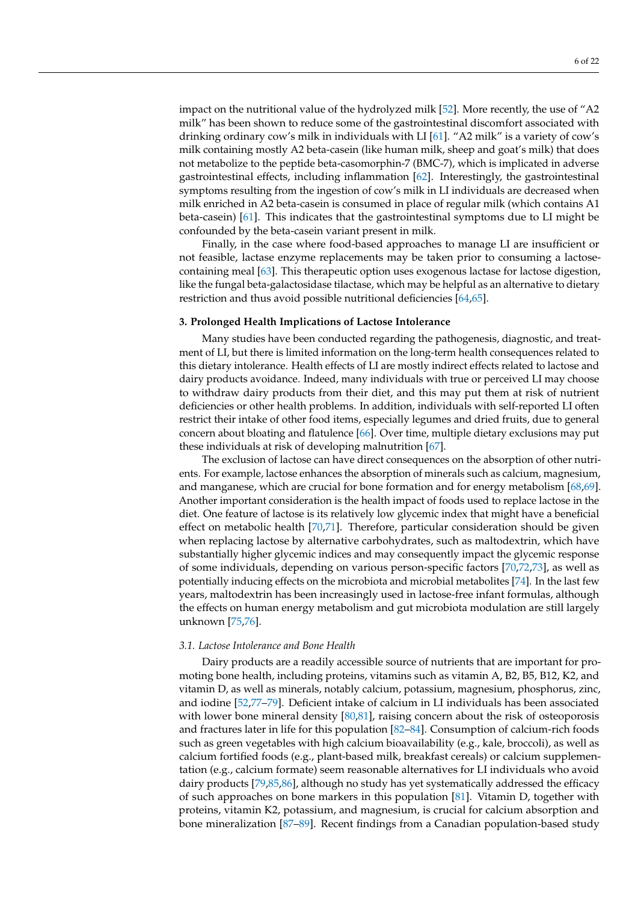impact on the nutritional value of the hydrolyzed milk [\[52\]](#page-15-22). More recently, the use of "A2 milk" has been shown to reduce some of the gastrointestinal discomfort associated with drinking ordinary cow's milk in individuals with LI [\[61\]](#page-16-3). "A2 milk" is a variety of cow's milk containing mostly A2 beta-casein (like human milk, sheep and goat's milk) that does not metabolize to the peptide beta-casomorphin-7 (BMC-7), which is implicated in adverse gastrointestinal effects, including inflammation [\[62\]](#page-16-4). Interestingly, the gastrointestinal symptoms resulting from the ingestion of cow's milk in LI individuals are decreased when milk enriched in A2 beta-casein is consumed in place of regular milk (which contains A1 beta-casein) [\[61\]](#page-16-3). This indicates that the gastrointestinal symptoms due to LI might be confounded by the beta-casein variant present in milk.

Finally, in the case where food-based approaches to manage LI are insufficient or not feasible, lactase enzyme replacements may be taken prior to consuming a lactosecontaining meal [\[63\]](#page-16-5). This therapeutic option uses exogenous lactase for lactose digestion, like the fungal beta-galactosidase tilactase, which may be helpful as an alternative to dietary restriction and thus avoid possible nutritional deficiencies [\[64,](#page-16-6)[65\]](#page-16-7).

## **3. Prolonged Health Implications of Lactose Intolerance**

Many studies have been conducted regarding the pathogenesis, diagnostic, and treatment of LI, but there is limited information on the long-term health consequences related to this dietary intolerance. Health effects of LI are mostly indirect effects related to lactose and dairy products avoidance. Indeed, many individuals with true or perceived LI may choose to withdraw dairy products from their diet, and this may put them at risk of nutrient deficiencies or other health problems. In addition, individuals with self-reported LI often restrict their intake of other food items, especially legumes and dried fruits, due to general concern about bloating and flatulence [\[66\]](#page-16-8). Over time, multiple dietary exclusions may put these individuals at risk of developing malnutrition [\[67\]](#page-16-9).

The exclusion of lactose can have direct consequences on the absorption of other nutrients. For example, lactose enhances the absorption of minerals such as calcium, magnesium, and manganese, which are crucial for bone formation and for energy metabolism [\[68,](#page-16-10)[69\]](#page-16-11). Another important consideration is the health impact of foods used to replace lactose in the diet. One feature of lactose is its relatively low glycemic index that might have a beneficial effect on metabolic health [\[70,](#page-16-12)[71\]](#page-16-13). Therefore, particular consideration should be given when replacing lactose by alternative carbohydrates, such as maltodextrin, which have substantially higher glycemic indices and may consequently impact the glycemic response of some individuals, depending on various person-specific factors [\[70,](#page-16-12)[72,](#page-16-14)[73\]](#page-16-15), as well as potentially inducing effects on the microbiota and microbial metabolites [\[74\]](#page-16-16). In the last few years, maltodextrin has been increasingly used in lactose-free infant formulas, although the effects on human energy metabolism and gut microbiota modulation are still largely unknown [\[75,](#page-16-17)[76\]](#page-16-18).

#### *3.1. Lactose Intolerance and Bone Health*

Dairy products are a readily accessible source of nutrients that are important for promoting bone health, including proteins, vitamins such as vitamin A, B2, B5, B12, K2, and vitamin D, as well as minerals, notably calcium, potassium, magnesium, phosphorus, zinc, and iodine [\[52](#page-15-22)[,77](#page-16-19)[–79\]](#page-16-20). Deficient intake of calcium in LI individuals has been associated with lower bone mineral density  $[80,81]$  $[80,81]$ , raising concern about the risk of osteoporosis and fractures later in life for this population [\[82–](#page-16-23)[84\]](#page-17-0). Consumption of calcium-rich foods such as green vegetables with high calcium bioavailability (e.g., kale, broccoli), as well as calcium fortified foods (e.g., plant-based milk, breakfast cereals) or calcium supplementation (e.g., calcium formate) seem reasonable alternatives for LI individuals who avoid dairy products [\[79](#page-16-20)[,85](#page-17-1)[,86\]](#page-17-2), although no study has yet systematically addressed the efficacy of such approaches on bone markers in this population [\[81\]](#page-16-22). Vitamin D, together with proteins, vitamin K2, potassium, and magnesium, is crucial for calcium absorption and bone mineralization [\[87](#page-17-3)[–89\]](#page-17-4). Recent findings from a Canadian population-based study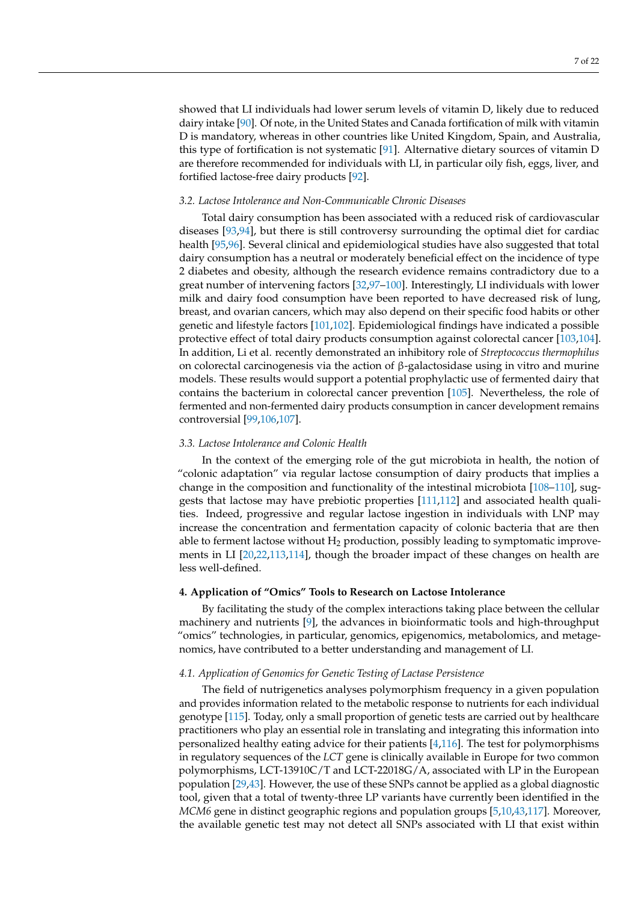showed that LI individuals had lower serum levels of vitamin D, likely due to reduced dairy intake [\[90\]](#page-17-5). Of note, in the United States and Canada fortification of milk with vitamin D is mandatory, whereas in other countries like United Kingdom, Spain, and Australia, this type of fortification is not systematic [\[91\]](#page-17-6). Alternative dietary sources of vitamin D are therefore recommended for individuals with LI, in particular oily fish, eggs, liver, and fortified lactose-free dairy products [\[92\]](#page-17-7).

#### *3.2. Lactose Intolerance and Non-Communicable Chronic Diseases*

Total dairy consumption has been associated with a reduced risk of cardiovascular diseases [\[93](#page-17-8)[,94\]](#page-17-9), but there is still controversy surrounding the optimal diet for cardiac health [\[95,](#page-17-10)[96\]](#page-17-11). Several clinical and epidemiological studies have also suggested that total dairy consumption has a neutral or moderately beneficial effect on the incidence of type 2 diabetes and obesity, although the research evidence remains contradictory due to a great number of intervening factors [\[32](#page-15-3)[,97–](#page-17-12)[100\]](#page-17-13). Interestingly, LI individuals with lower milk and dairy food consumption have been reported to have decreased risk of lung, breast, and ovarian cancers, which may also depend on their specific food habits or other genetic and lifestyle factors [\[101,](#page-17-14)[102\]](#page-17-15). Epidemiological findings have indicated a possible protective effect of total dairy products consumption against colorectal cancer [\[103,](#page-17-16)[104\]](#page-17-17). In addition, Li et al. recently demonstrated an inhibitory role of *Streptococcus thermophilus* on colorectal carcinogenesis via the action of  $\beta$ -galactosidase using in vitro and murine models. These results would support a potential prophylactic use of fermented dairy that contains the bacterium in colorectal cancer prevention [\[105\]](#page-17-18). Nevertheless, the role of fermented and non-fermented dairy products consumption in cancer development remains controversial [\[99](#page-17-19)[,106](#page-17-20)[,107\]](#page-17-21).

# *3.3. Lactose Intolerance and Colonic Health*

In the context of the emerging role of the gut microbiota in health, the notion of "colonic adaptation" via regular lactose consumption of dairy products that implies a change in the composition and functionality of the intestinal microbiota [\[108–](#page-17-22)[110\]](#page-18-0), suggests that lactose may have prebiotic properties [\[111,](#page-18-1)[112\]](#page-18-2) and associated health qualities. Indeed, progressive and regular lactose ingestion in individuals with LNP may increase the concentration and fermentation capacity of colonic bacteria that are then able to ferment lactose without  $H_2$  production, possibly leading to symptomatic improvements in LI [\[20](#page-14-18)[,22](#page-14-20)[,113,](#page-18-3)[114\]](#page-18-4), though the broader impact of these changes on health are less well-defined.

# **4. Application of "Omics" Tools to Research on Lactose Intolerance**

By facilitating the study of the complex interactions taking place between the cellular machinery and nutrients [\[9\]](#page-14-8), the advances in bioinformatic tools and high-throughput "omics" technologies, in particular, genomics, epigenomics, metabolomics, and metagenomics, have contributed to a better understanding and management of LI.

## *4.1. Application of Genomics for Genetic Testing of Lactase Persistence*

The field of nutrigenetics analyses polymorphism frequency in a given population and provides information related to the metabolic response to nutrients for each individual genotype [\[115\]](#page-18-5). Today, only a small proportion of genetic tests are carried out by healthcare practitioners who play an essential role in translating and integrating this information into personalized healthy eating advice for their patients [\[4](#page-14-3)[,116\]](#page-18-6). The test for polymorphisms in regulatory sequences of the *LCT* gene is clinically available in Europe for two common polymorphisms, LCT-13910C/T and LCT-22018G/A, associated with LP in the European population [\[29,](#page-15-0)[43\]](#page-15-13). However, the use of these SNPs cannot be applied as a global diagnostic tool, given that a total of twenty-three LP variants have currently been identified in the *MCM6* gene in distinct geographic regions and population groups [\[5,](#page-14-4)[10,](#page-14-9)[43](#page-15-13)[,117\]](#page-18-7). Moreover, the available genetic test may not detect all SNPs associated with LI that exist within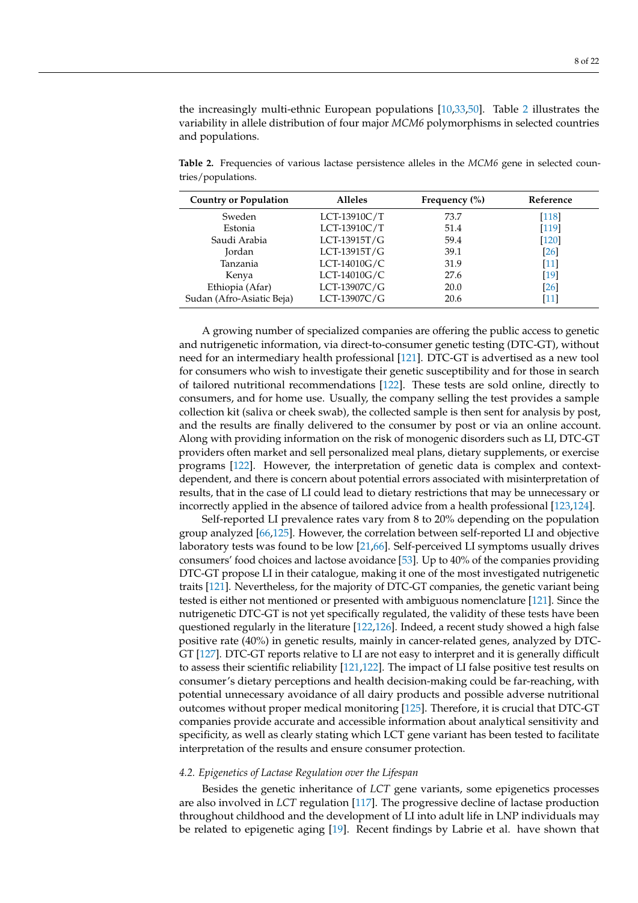the increasingly multi-ethnic European populations [\[10](#page-14-9)[,33](#page-15-4)[,50\]](#page-15-20). Table [2](#page-7-0) illustrates the variability in allele distribution of four major *MCM6* polymorphisms in selected countries and populations.

<span id="page-7-0"></span>**Table 2.** Frequencies of various lactase persistence alleles in the *MCM6* gene in selected countries/populations.

| <b>Country or Population</b> | <b>Alleles</b> | Frequency $(\% )$ | Reference          |
|------------------------------|----------------|-------------------|--------------------|
| Sweden                       | LCT-13910C/T   | 73.7              | [118]              |
| Estonia                      | LCT-13910C/T   | 51.4              | $[119]$            |
| Saudi Arabia                 | LCT-13915T/G   | 59.4              | [120]              |
| Jordan                       | $LCT-13915T/G$ | 39.1              | [26]               |
| Tanzania                     | LCT-14010G/C   | 31.9              | [11]               |
| Kenya                        | $LCT-14010G/C$ | 27.6              | [19]               |
| Ethiopia (Afar)              | LCT-13907C/G   | 20.0              | $\lceil 26 \rceil$ |
| Sudan (Afro-Asiatic Beja)    | LCT-13907C/G   | 20.6              | [11]               |

A growing number of specialized companies are offering the public access to genetic and nutrigenetic information, via direct-to-consumer genetic testing (DTC-GT), without need for an intermediary health professional [\[121\]](#page-18-11). DTC-GT is advertised as a new tool for consumers who wish to investigate their genetic susceptibility and for those in search of tailored nutritional recommendations [\[122\]](#page-18-12). These tests are sold online, directly to consumers, and for home use. Usually, the company selling the test provides a sample collection kit (saliva or cheek swab), the collected sample is then sent for analysis by post, and the results are finally delivered to the consumer by post or via an online account. Along with providing information on the risk of monogenic disorders such as LI, DTC-GT providers often market and sell personalized meal plans, dietary supplements, or exercise programs [\[122\]](#page-18-12). However, the interpretation of genetic data is complex and contextdependent, and there is concern about potential errors associated with misinterpretation of results, that in the case of LI could lead to dietary restrictions that may be unnecessary or incorrectly applied in the absence of tailored advice from a health professional [\[123](#page-18-13)[,124\]](#page-18-14).

Self-reported LI prevalence rates vary from 8 to 20% depending on the population group analyzed [\[66](#page-16-8)[,125\]](#page-18-15). However, the correlation between self-reported LI and objective laboratory tests was found to be low [\[21,](#page-14-19)[66\]](#page-16-8). Self-perceived LI symptoms usually drives consumers' food choices and lactose avoidance [\[53\]](#page-15-23). Up to 40% of the companies providing DTC-GT propose LI in their catalogue, making it one of the most investigated nutrigenetic traits [\[121\]](#page-18-11). Nevertheless, for the majority of DTC-GT companies, the genetic variant being tested is either not mentioned or presented with ambiguous nomenclature [\[121\]](#page-18-11). Since the nutrigenetic DTC-GT is not yet specifically regulated, the validity of these tests have been questioned regularly in the literature [\[122](#page-18-12)[,126\]](#page-18-16). Indeed, a recent study showed a high false positive rate (40%) in genetic results, mainly in cancer-related genes, analyzed by DTC-GT [\[127\]](#page-18-17). DTC-GT reports relative to LI are not easy to interpret and it is generally difficult to assess their scientific reliability [\[121,](#page-18-11)[122\]](#page-18-12). The impact of LI false positive test results on consumer's dietary perceptions and health decision-making could be far-reaching, with potential unnecessary avoidance of all dairy products and possible adverse nutritional outcomes without proper medical monitoring [\[125\]](#page-18-15). Therefore, it is crucial that DTC-GT companies provide accurate and accessible information about analytical sensitivity and specificity, as well as clearly stating which LCT gene variant has been tested to facilitate interpretation of the results and ensure consumer protection.

#### *4.2. Epigenetics of Lactase Regulation over the Lifespan*

Besides the genetic inheritance of *LCT* gene variants, some epigenetics processes are also involved in *LCT* regulation [\[117\]](#page-18-7). The progressive decline of lactase production throughout childhood and the development of LI into adult life in LNP individuals may be related to epigenetic aging [\[19\]](#page-14-17). Recent findings by Labrie et al. have shown that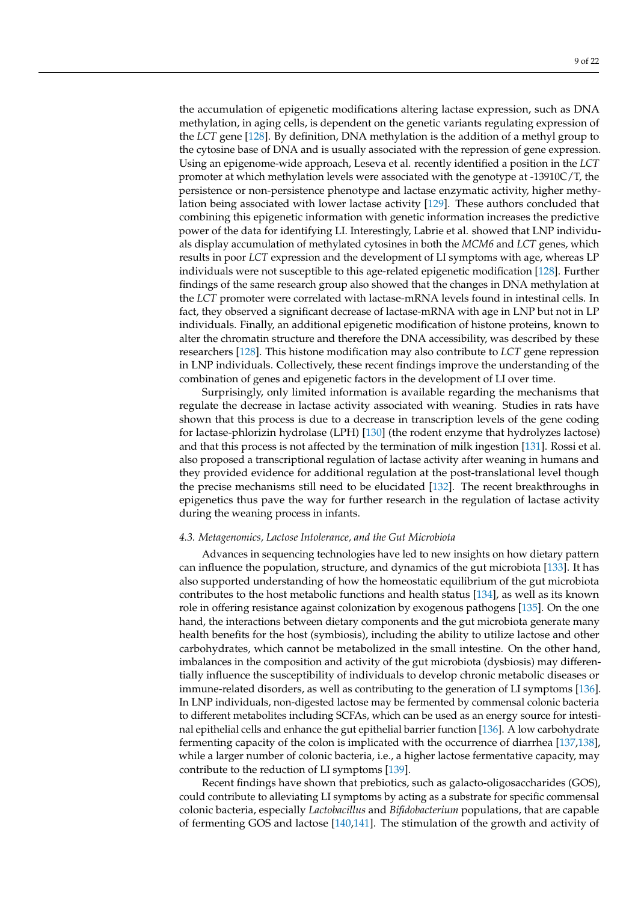the accumulation of epigenetic modifications altering lactase expression, such as DNA methylation, in aging cells, is dependent on the genetic variants regulating expression of the *LCT* gene [\[128\]](#page-18-18). By definition, DNA methylation is the addition of a methyl group to the cytosine base of DNA and is usually associated with the repression of gene expression. Using an epigenome-wide approach, Leseva et al. recently identified a position in the *LCT* promoter at which methylation levels were associated with the genotype at -13910C/T, the persistence or non-persistence phenotype and lactase enzymatic activity, higher methylation being associated with lower lactase activity [\[129\]](#page-18-19). These authors concluded that combining this epigenetic information with genetic information increases the predictive power of the data for identifying LI. Interestingly, Labrie et al. showed that LNP individuals display accumulation of methylated cytosines in both the *MCM6* and *LCT* genes, which results in poor *LCT* expression and the development of LI symptoms with age, whereas LP individuals were not susceptible to this age-related epigenetic modification [\[128\]](#page-18-18). Further findings of the same research group also showed that the changes in DNA methylation at the *LCT* promoter were correlated with lactase-mRNA levels found in intestinal cells. In fact, they observed a significant decrease of lactase-mRNA with age in LNP but not in LP individuals. Finally, an additional epigenetic modification of histone proteins, known to alter the chromatin structure and therefore the DNA accessibility, was described by these researchers [\[128\]](#page-18-18). This histone modification may also contribute to *LCT* gene repression in LNP individuals. Collectively, these recent findings improve the understanding of the combination of genes and epigenetic factors in the development of LI over time.

Surprisingly, only limited information is available regarding the mechanisms that regulate the decrease in lactase activity associated with weaning. Studies in rats have shown that this process is due to a decrease in transcription levels of the gene coding for lactase-phlorizin hydrolase (LPH) [\[130\]](#page-18-20) (the rodent enzyme that hydrolyzes lactose) and that this process is not affected by the termination of milk ingestion [\[131\]](#page-18-21). Rossi et al. also proposed a transcriptional regulation of lactase activity after weaning in humans and they provided evidence for additional regulation at the post-translational level though the precise mechanisms still need to be elucidated [\[132\]](#page-18-22). The recent breakthroughs in epigenetics thus pave the way for further research in the regulation of lactase activity during the weaning process in infants.

#### *4.3. Metagenomics, Lactose Intolerance, and the Gut Microbiota*

Advances in sequencing technologies have led to new insights on how dietary pattern can influence the population, structure, and dynamics of the gut microbiota [\[133\]](#page-19-0). It has also supported understanding of how the homeostatic equilibrium of the gut microbiota contributes to the host metabolic functions and health status [\[134\]](#page-19-1), as well as its known role in offering resistance against colonization by exogenous pathogens [\[135\]](#page-19-2). On the one hand, the interactions between dietary components and the gut microbiota generate many health benefits for the host (symbiosis), including the ability to utilize lactose and other carbohydrates, which cannot be metabolized in the small intestine. On the other hand, imbalances in the composition and activity of the gut microbiota (dysbiosis) may differentially influence the susceptibility of individuals to develop chronic metabolic diseases or immune-related disorders, as well as contributing to the generation of LI symptoms [\[136\]](#page-19-3). In LNP individuals, non-digested lactose may be fermented by commensal colonic bacteria to different metabolites including SCFAs, which can be used as an energy source for intestinal epithelial cells and enhance the gut epithelial barrier function [\[136\]](#page-19-3). A low carbohydrate fermenting capacity of the colon is implicated with the occurrence of diarrhea [\[137,](#page-19-4)[138\]](#page-19-5), while a larger number of colonic bacteria, i.e., a higher lactose fermentative capacity, may contribute to the reduction of LI symptoms [\[139\]](#page-19-6).

Recent findings have shown that prebiotics, such as galacto-oligosaccharides (GOS), could contribute to alleviating LI symptoms by acting as a substrate for specific commensal colonic bacteria, especially *Lactobacillus* and *Bifidobacterium* populations, that are capable of fermenting GOS and lactose [\[140,](#page-19-7)[141\]](#page-19-8). The stimulation of the growth and activity of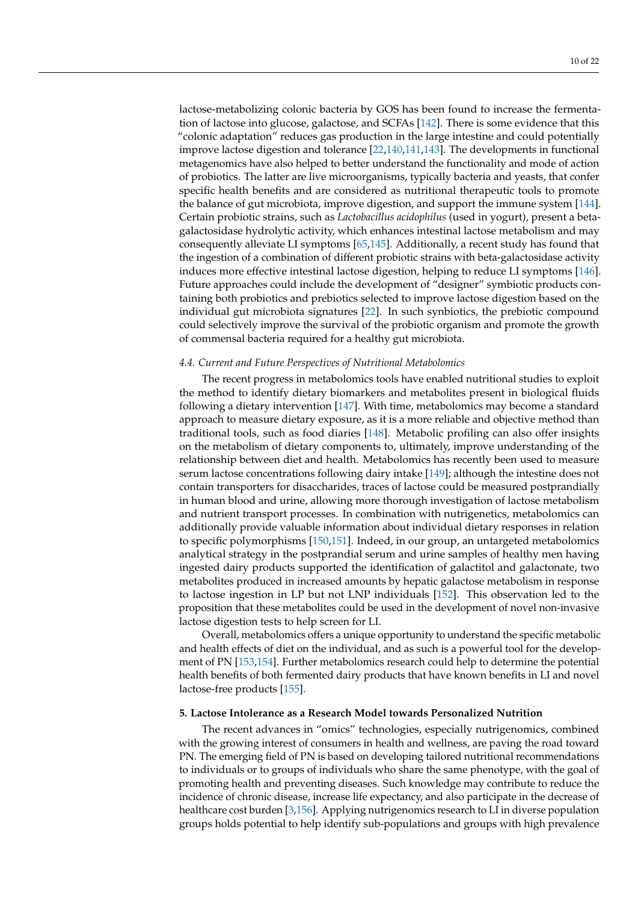lactose-metabolizing colonic bacteria by GOS has been found to increase the fermentation of lactose into glucose, galactose, and SCFAs [\[142\]](#page-19-9). There is some evidence that this "colonic adaptation" reduces gas production in the large intestine and could potentially improve lactose digestion and tolerance [\[22,](#page-14-20)[140,](#page-19-7)[141](#page-19-8)[,143\]](#page-19-10). The developments in functional metagenomics have also helped to better understand the functionality and mode of action of probiotics. The latter are live microorganisms, typically bacteria and yeasts, that confer specific health benefits and are considered as nutritional therapeutic tools to promote the balance of gut microbiota, improve digestion, and support the immune system [\[144\]](#page-19-11). Certain probiotic strains, such as *Lactobacillus acidophilus* (used in yogurt), present a betagalactosidase hydrolytic activity, which enhances intestinal lactose metabolism and may consequently alleviate LI symptoms [\[65](#page-16-7)[,145\]](#page-19-12). Additionally, a recent study has found that the ingestion of a combination of different probiotic strains with beta-galactosidase activity induces more effective intestinal lactose digestion, helping to reduce LI symptoms [\[146\]](#page-19-13). Future approaches could include the development of "designer" symbiotic products containing both probiotics and prebiotics selected to improve lactose digestion based on the individual gut microbiota signatures [\[22\]](#page-14-20). In such synbiotics, the prebiotic compound could selectively improve the survival of the probiotic organism and promote the growth of commensal bacteria required for a healthy gut microbiota.

## *4.4. Current and Future Perspectives of Nutritional Metabolomics*

The recent progress in metabolomics tools have enabled nutritional studies to exploit the method to identify dietary biomarkers and metabolites present in biological fluids following a dietary intervention [\[147\]](#page-19-14). With time, metabolomics may become a standard approach to measure dietary exposure, as it is a more reliable and objective method than traditional tools, such as food diaries [\[148\]](#page-19-15). Metabolic profiling can also offer insights on the metabolism of dietary components to, ultimately, improve understanding of the relationship between diet and health. Metabolomics has recently been used to measure serum lactose concentrations following dairy intake [\[149\]](#page-19-16); although the intestine does not contain transporters for disaccharides, traces of lactose could be measured postprandially in human blood and urine, allowing more thorough investigation of lactose metabolism and nutrient transport processes. In combination with nutrigenetics, metabolomics can additionally provide valuable information about individual dietary responses in relation to specific polymorphisms [\[150,](#page-19-17)[151\]](#page-19-18). Indeed, in our group, an untargeted metabolomics analytical strategy in the postprandial serum and urine samples of healthy men having ingested dairy products supported the identification of galactitol and galactonate, two metabolites produced in increased amounts by hepatic galactose metabolism in response to lactose ingestion in LP but not LNP individuals [\[152\]](#page-19-19). This observation led to the proposition that these metabolites could be used in the development of novel non-invasive lactose digestion tests to help screen for LI.

Overall, metabolomics offers a unique opportunity to understand the specific metabolic and health effects of diet on the individual, and as such is a powerful tool for the development of PN [\[153](#page-19-20)[,154\]](#page-19-21). Further metabolomics research could help to determine the potential health benefits of both fermented dairy products that have known benefits in LI and novel lactose-free products [\[155\]](#page-19-22).

# **5. Lactose Intolerance as a Research Model towards Personalized Nutrition**

The recent advances in "omics" technologies, especially nutrigenomics, combined with the growing interest of consumers in health and wellness, are paving the road toward PN. The emerging field of PN is based on developing tailored nutritional recommendations to individuals or to groups of individuals who share the same phenotype, with the goal of promoting health and preventing diseases. Such knowledge may contribute to reduce the incidence of chronic disease, increase life expectancy, and also participate in the decrease of healthcare cost burden [\[3,](#page-14-2)[156\]](#page-19-23). Applying nutrigenomics research to LI in diverse population groups holds potential to help identify sub-populations and groups with high prevalence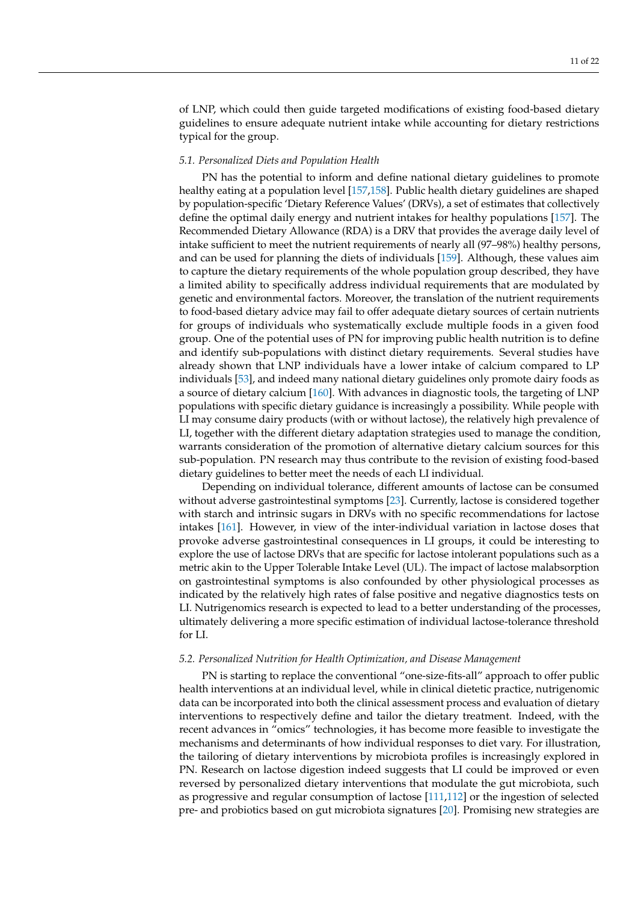of LNP, which could then guide targeted modifications of existing food-based dietary guidelines to ensure adequate nutrient intake while accounting for dietary restrictions typical for the group.

## *5.1. Personalized Diets and Population Health*

PN has the potential to inform and define national dietary guidelines to promote healthy eating at a population level [\[157,](#page-19-24)[158\]](#page-19-25). Public health dietary guidelines are shaped by population-specific 'Dietary Reference Values' (DRVs), a set of estimates that collectively define the optimal daily energy and nutrient intakes for healthy populations [\[157\]](#page-19-24). The Recommended Dietary Allowance (RDA) is a DRV that provides the average daily level of intake sufficient to meet the nutrient requirements of nearly all (97–98%) healthy persons, and can be used for planning the diets of individuals [\[159\]](#page-19-26). Although, these values aim to capture the dietary requirements of the whole population group described, they have a limited ability to specifically address individual requirements that are modulated by genetic and environmental factors. Moreover, the translation of the nutrient requirements to food-based dietary advice may fail to offer adequate dietary sources of certain nutrients for groups of individuals who systematically exclude multiple foods in a given food group. One of the potential uses of PN for improving public health nutrition is to define and identify sub-populations with distinct dietary requirements. Several studies have already shown that LNP individuals have a lower intake of calcium compared to LP individuals [\[53\]](#page-15-23), and indeed many national dietary guidelines only promote dairy foods as a source of dietary calcium [\[160\]](#page-19-27). With advances in diagnostic tools, the targeting of LNP populations with specific dietary guidance is increasingly a possibility. While people with LI may consume dairy products (with or without lactose), the relatively high prevalence of LI, together with the different dietary adaptation strategies used to manage the condition, warrants consideration of the promotion of alternative dietary calcium sources for this sub-population. PN research may thus contribute to the revision of existing food-based dietary guidelines to better meet the needs of each LI individual.

Depending on individual tolerance, different amounts of lactose can be consumed without adverse gastrointestinal symptoms [\[23\]](#page-14-21). Currently, lactose is considered together with starch and intrinsic sugars in DRVs with no specific recommendations for lactose intakes [\[161\]](#page-19-28). However, in view of the inter-individual variation in lactose doses that provoke adverse gastrointestinal consequences in LI groups, it could be interesting to explore the use of lactose DRVs that are specific for lactose intolerant populations such as a metric akin to the Upper Tolerable Intake Level (UL). The impact of lactose malabsorption on gastrointestinal symptoms is also confounded by other physiological processes as indicated by the relatively high rates of false positive and negative diagnostics tests on LI. Nutrigenomics research is expected to lead to a better understanding of the processes, ultimately delivering a more specific estimation of individual lactose-tolerance threshold for LI.

#### *5.2. Personalized Nutrition for Health Optimization, and Disease Management*

PN is starting to replace the conventional "one-size-fits-all" approach to offer public health interventions at an individual level, while in clinical dietetic practice, nutrigenomic data can be incorporated into both the clinical assessment process and evaluation of dietary interventions to respectively define and tailor the dietary treatment. Indeed, with the recent advances in "omics" technologies, it has become more feasible to investigate the mechanisms and determinants of how individual responses to diet vary. For illustration, the tailoring of dietary interventions by microbiota profiles is increasingly explored in PN. Research on lactose digestion indeed suggests that LI could be improved or even reversed by personalized dietary interventions that modulate the gut microbiota, such as progressive and regular consumption of lactose [\[111](#page-18-1)[,112\]](#page-18-2) or the ingestion of selected pre- and probiotics based on gut microbiota signatures [\[20\]](#page-14-18). Promising new strategies are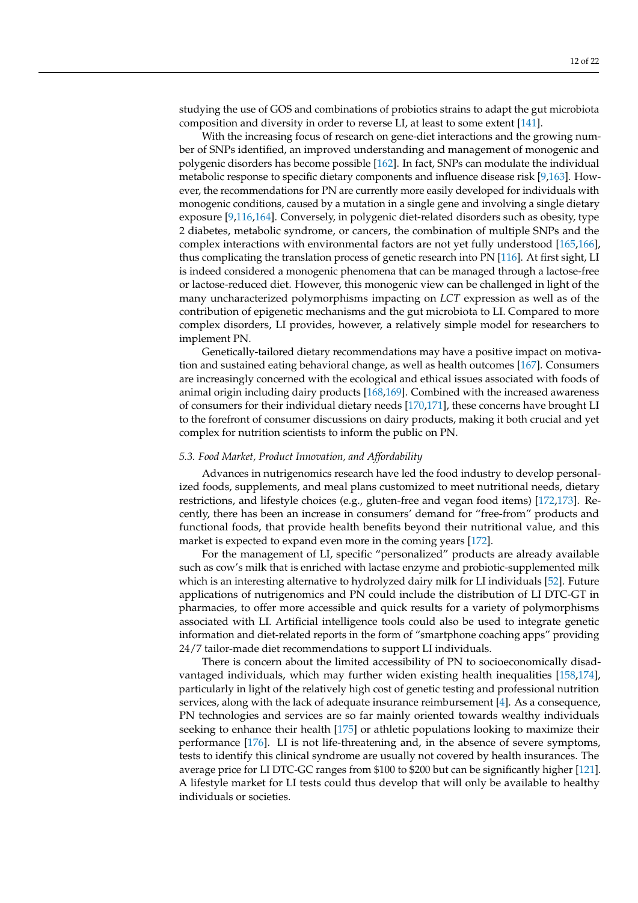studying the use of GOS and combinations of probiotics strains to adapt the gut microbiota composition and diversity in order to reverse LI, at least to some extent [\[141\]](#page-19-8).

With the increasing focus of research on gene-diet interactions and the growing number of SNPs identified, an improved understanding and management of monogenic and polygenic disorders has become possible [\[162\]](#page-20-0). In fact, SNPs can modulate the individual metabolic response to specific dietary components and influence disease risk [\[9](#page-14-8)[,163\]](#page-20-1). However, the recommendations for PN are currently more easily developed for individuals with monogenic conditions, caused by a mutation in a single gene and involving a single dietary exposure [\[9,](#page-14-8)[116,](#page-18-6)[164\]](#page-20-2). Conversely, in polygenic diet-related disorders such as obesity, type 2 diabetes, metabolic syndrome, or cancers, the combination of multiple SNPs and the complex interactions with environmental factors are not yet fully understood [\[165,](#page-20-3)[166\]](#page-20-4), thus complicating the translation process of genetic research into PN [\[116\]](#page-18-6). At first sight, LI is indeed considered a monogenic phenomena that can be managed through a lactose-free or lactose-reduced diet. However, this monogenic view can be challenged in light of the many uncharacterized polymorphisms impacting on *LCT* expression as well as of the contribution of epigenetic mechanisms and the gut microbiota to LI. Compared to more complex disorders, LI provides, however, a relatively simple model for researchers to implement PN.

Genetically-tailored dietary recommendations may have a positive impact on motivation and sustained eating behavioral change, as well as health outcomes [\[167\]](#page-20-5). Consumers are increasingly concerned with the ecological and ethical issues associated with foods of animal origin including dairy products [\[168](#page-20-6)[,169\]](#page-20-7). Combined with the increased awareness of consumers for their individual dietary needs [\[170,](#page-20-8)[171\]](#page-20-9), these concerns have brought LI to the forefront of consumer discussions on dairy products, making it both crucial and yet complex for nutrition scientists to inform the public on PN.

#### *5.3. Food Market, Product Innovation, and Affordability*

Advances in nutrigenomics research have led the food industry to develop personalized foods, supplements, and meal plans customized to meet nutritional needs, dietary restrictions, and lifestyle choices (e.g., gluten-free and vegan food items) [\[172,](#page-20-10)[173\]](#page-20-11). Recently, there has been an increase in consumers' demand for "free-from" products and functional foods, that provide health benefits beyond their nutritional value, and this market is expected to expand even more in the coming years [\[172\]](#page-20-10).

For the management of LI, specific "personalized" products are already available such as cow's milk that is enriched with lactase enzyme and probiotic-supplemented milk which is an interesting alternative to hydrolyzed dairy milk for LI individuals [\[52\]](#page-15-22). Future applications of nutrigenomics and PN could include the distribution of LI DTC-GT in pharmacies, to offer more accessible and quick results for a variety of polymorphisms associated with LI. Artificial intelligence tools could also be used to integrate genetic information and diet-related reports in the form of "smartphone coaching apps" providing 24/7 tailor-made diet recommendations to support LI individuals.

There is concern about the limited accessibility of PN to socioeconomically disadvantaged individuals, which may further widen existing health inequalities [\[158,](#page-19-25)[174\]](#page-20-12), particularly in light of the relatively high cost of genetic testing and professional nutrition services, along with the lack of adequate insurance reimbursement [\[4\]](#page-14-3). As a consequence, PN technologies and services are so far mainly oriented towards wealthy individuals seeking to enhance their health [\[175\]](#page-20-13) or athletic populations looking to maximize their performance [\[176\]](#page-20-14). LI is not life-threatening and, in the absence of severe symptoms, tests to identify this clinical syndrome are usually not covered by health insurances. The average price for LI DTC-GC ranges from \$100 to \$200 but can be significantly higher [\[121\]](#page-18-11). A lifestyle market for LI tests could thus develop that will only be available to healthy individuals or societies.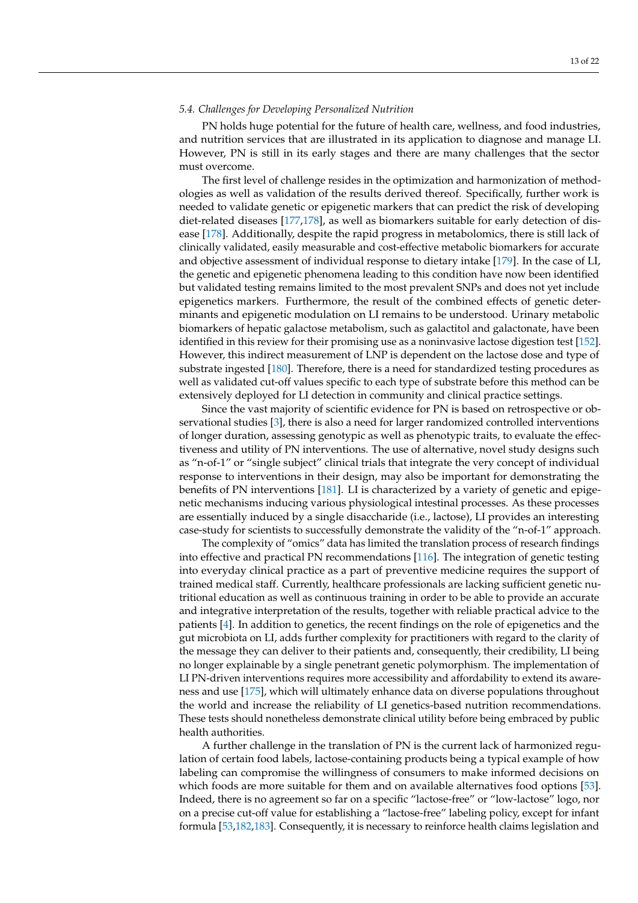## *5.4. Challenges for Developing Personalized Nutrition*

PN holds huge potential for the future of health care, wellness, and food industries, and nutrition services that are illustrated in its application to diagnose and manage LI. However, PN is still in its early stages and there are many challenges that the sector must overcome.

The first level of challenge resides in the optimization and harmonization of methodologies as well as validation of the results derived thereof. Specifically, further work is needed to validate genetic or epigenetic markers that can predict the risk of developing diet-related diseases [\[177](#page-20-15)[,178\]](#page-20-16), as well as biomarkers suitable for early detection of disease [\[178\]](#page-20-16). Additionally, despite the rapid progress in metabolomics, there is still lack of clinically validated, easily measurable and cost-effective metabolic biomarkers for accurate and objective assessment of individual response to dietary intake [\[179\]](#page-20-17). In the case of LI, the genetic and epigenetic phenomena leading to this condition have now been identified but validated testing remains limited to the most prevalent SNPs and does not yet include epigenetics markers. Furthermore, the result of the combined effects of genetic determinants and epigenetic modulation on LI remains to be understood. Urinary metabolic biomarkers of hepatic galactose metabolism, such as galactitol and galactonate, have been identified in this review for their promising use as a noninvasive lactose digestion test [\[152\]](#page-19-19). However, this indirect measurement of LNP is dependent on the lactose dose and type of substrate ingested [\[180\]](#page-20-18). Therefore, there is a need for standardized testing procedures as well as validated cut-off values specific to each type of substrate before this method can be extensively deployed for LI detection in community and clinical practice settings.

Since the vast majority of scientific evidence for PN is based on retrospective or observational studies [\[3\]](#page-14-2), there is also a need for larger randomized controlled interventions of longer duration, assessing genotypic as well as phenotypic traits, to evaluate the effectiveness and utility of PN interventions. The use of alternative, novel study designs such as "n-of-1" or "single subject" clinical trials that integrate the very concept of individual response to interventions in their design, may also be important for demonstrating the benefits of PN interventions [\[181\]](#page-20-19). LI is characterized by a variety of genetic and epigenetic mechanisms inducing various physiological intestinal processes. As these processes are essentially induced by a single disaccharide (i.e., lactose), LI provides an interesting case-study for scientists to successfully demonstrate the validity of the "n-of-1" approach.

The complexity of "omics" data has limited the translation process of research findings into effective and practical PN recommendations [\[116\]](#page-18-6). The integration of genetic testing into everyday clinical practice as a part of preventive medicine requires the support of trained medical staff. Currently, healthcare professionals are lacking sufficient genetic nutritional education as well as continuous training in order to be able to provide an accurate and integrative interpretation of the results, together with reliable practical advice to the patients [\[4\]](#page-14-3). In addition to genetics, the recent findings on the role of epigenetics and the gut microbiota on LI, adds further complexity for practitioners with regard to the clarity of the message they can deliver to their patients and, consequently, their credibility, LI being no longer explainable by a single penetrant genetic polymorphism. The implementation of LI PN-driven interventions requires more accessibility and affordability to extend its awareness and use [\[175\]](#page-20-13), which will ultimately enhance data on diverse populations throughout the world and increase the reliability of LI genetics-based nutrition recommendations. These tests should nonetheless demonstrate clinical utility before being embraced by public health authorities.

A further challenge in the translation of PN is the current lack of harmonized regulation of certain food labels, lactose-containing products being a typical example of how labeling can compromise the willingness of consumers to make informed decisions on which foods are more suitable for them and on available alternatives food options [\[53\]](#page-15-23). Indeed, there is no agreement so far on a specific "lactose-free" or "low-lactose" logo, nor on a precise cut-off value for establishing a "lactose-free" labeling policy, except for infant formula [\[53](#page-15-23)[,182,](#page-20-20)[183\]](#page-20-21). Consequently, it is necessary to reinforce health claims legislation and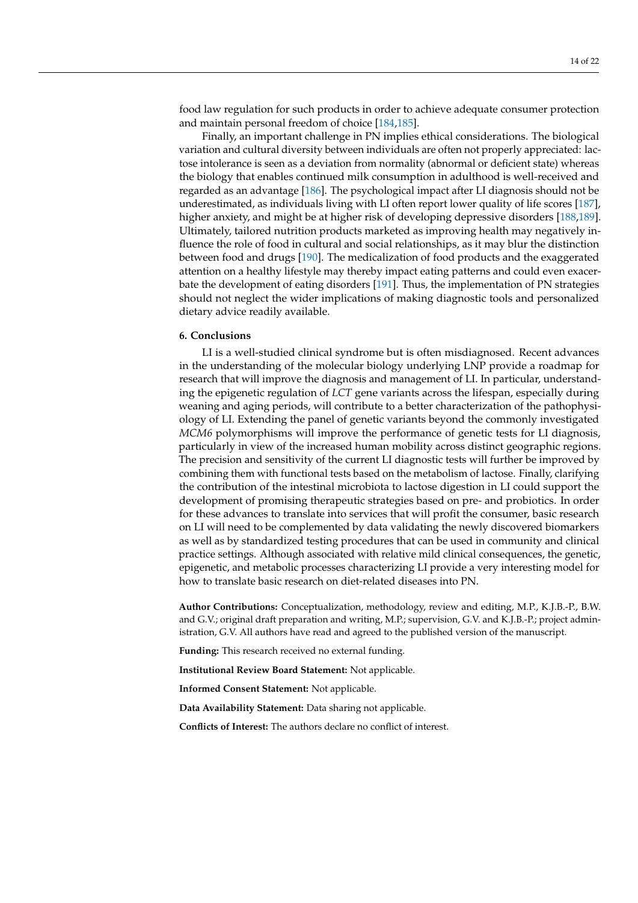food law regulation for such products in order to achieve adequate consumer protection and maintain personal freedom of choice [\[184,](#page-20-22)[185\]](#page-20-23).

Finally, an important challenge in PN implies ethical considerations. The biological variation and cultural diversity between individuals are often not properly appreciated: lactose intolerance is seen as a deviation from normality (abnormal or deficient state) whereas the biology that enables continued milk consumption in adulthood is well-received and regarded as an advantage [\[186\]](#page-20-24). The psychological impact after LI diagnosis should not be underestimated, as individuals living with LI often report lower quality of life scores [\[187\]](#page-20-25), higher anxiety, and might be at higher risk of developing depressive disorders [\[188,](#page-20-26)[189\]](#page-21-0). Ultimately, tailored nutrition products marketed as improving health may negatively influence the role of food in cultural and social relationships, as it may blur the distinction between food and drugs [\[190\]](#page-21-1). The medicalization of food products and the exaggerated attention on a healthy lifestyle may thereby impact eating patterns and could even exacerbate the development of eating disorders [\[191\]](#page-21-2). Thus, the implementation of PN strategies should not neglect the wider implications of making diagnostic tools and personalized dietary advice readily available.

#### **6. Conclusions**

LI is a well-studied clinical syndrome but is often misdiagnosed. Recent advances in the understanding of the molecular biology underlying LNP provide a roadmap for research that will improve the diagnosis and management of LI. In particular, understanding the epigenetic regulation of *LCT* gene variants across the lifespan, especially during weaning and aging periods, will contribute to a better characterization of the pathophysiology of LI. Extending the panel of genetic variants beyond the commonly investigated *MCM6* polymorphisms will improve the performance of genetic tests for LI diagnosis, particularly in view of the increased human mobility across distinct geographic regions. The precision and sensitivity of the current LI diagnostic tests will further be improved by combining them with functional tests based on the metabolism of lactose. Finally, clarifying the contribution of the intestinal microbiota to lactose digestion in LI could support the development of promising therapeutic strategies based on pre- and probiotics. In order for these advances to translate into services that will profit the consumer, basic research on LI will need to be complemented by data validating the newly discovered biomarkers as well as by standardized testing procedures that can be used in community and clinical practice settings. Although associated with relative mild clinical consequences, the genetic, epigenetic, and metabolic processes characterizing LI provide a very interesting model for how to translate basic research on diet-related diseases into PN.

**Author Contributions:** Conceptualization, methodology, review and editing, M.P., K.J.B.-P., B.W. and G.V.; original draft preparation and writing, M.P.; supervision, G.V. and K.J.B.-P.; project administration, G.V. All authors have read and agreed to the published version of the manuscript.

**Funding:** This research received no external funding.

**Institutional Review Board Statement:** Not applicable.

**Informed Consent Statement:** Not applicable.

**Data Availability Statement:** Data sharing not applicable.

**Conflicts of Interest:** The authors declare no conflict of interest.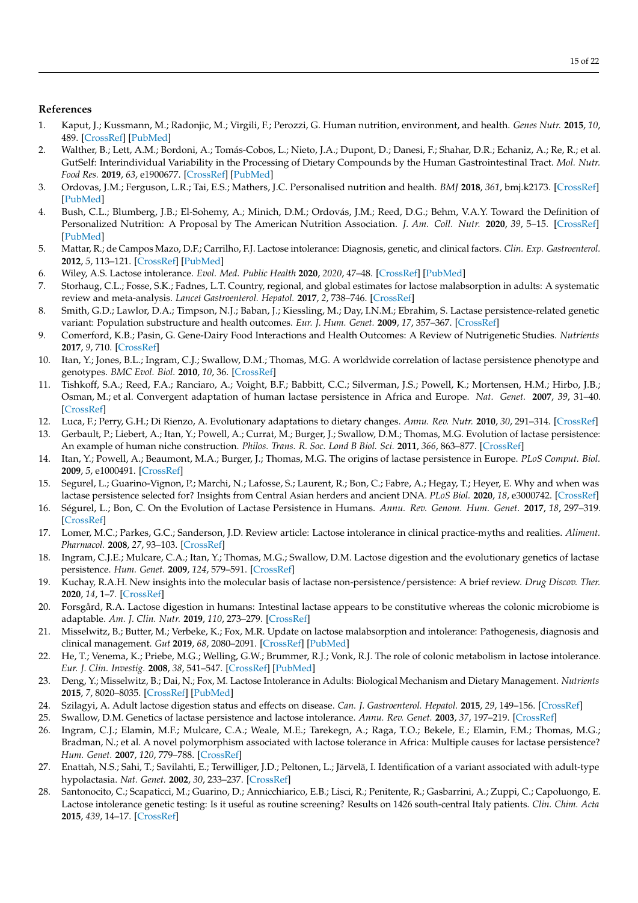# **References**

- <span id="page-14-0"></span>1. Kaput, J.; Kussmann, M.; Radonjic, M.; Virgili, F.; Perozzi, G. Human nutrition, environment, and health. *Genes Nutr.* **2015**, *10*, 489. [\[CrossRef\]](http://doi.org/10.1007/s12263-015-0489-8) [\[PubMed\]](http://www.ncbi.nlm.nih.gov/pubmed/26319142)
- <span id="page-14-1"></span>2. Walther, B.; Lett, A.M.; Bordoni, A.; Tomás-Cobos, L.; Nieto, J.A.; Dupont, D.; Danesi, F.; Shahar, D.R.; Echaniz, A.; Re, R.; et al. GutSelf: Interindividual Variability in the Processing of Dietary Compounds by the Human Gastrointestinal Tract. *Mol. Nutr. Food Res.* **2019**, *63*, e1900677. [\[CrossRef\]](http://doi.org/10.1002/mnfr.201900677) [\[PubMed\]](http://www.ncbi.nlm.nih.gov/pubmed/31483113)
- <span id="page-14-2"></span>3. Ordovas, J.M.; Ferguson, L.R.; Tai, E.S.; Mathers, J.C. Personalised nutrition and health. *BMJ* **2018**, *361*, bmj.k2173. [\[CrossRef\]](http://doi.org/10.1136/bmj.k2173) [\[PubMed\]](http://www.ncbi.nlm.nih.gov/pubmed/29898881)
- <span id="page-14-3"></span>4. Bush, C.L.; Blumberg, J.B.; El-Sohemy, A.; Minich, D.M.; Ordovás, J.M.; Reed, D.G.; Behm, V.A.Y. Toward the Definition of Personalized Nutrition: A Proposal by The American Nutrition Association. *J. Am. Coll. Nutr.* **2020**, *39*, 5–15. [\[CrossRef\]](http://doi.org/10.1080/07315724.2019.1685332) [\[PubMed\]](http://www.ncbi.nlm.nih.gov/pubmed/31855126)
- <span id="page-14-4"></span>5. Mattar, R.; de Campos Mazo, D.F.; Carrilho, F.J. Lactose intolerance: Diagnosis, genetic, and clinical factors. *Clin. Exp. Gastroenterol.* **2012**, *5*, 113–121. [\[CrossRef\]](http://doi.org/10.2147/CEG.S32368) [\[PubMed\]](http://www.ncbi.nlm.nih.gov/pubmed/22826639)
- <span id="page-14-5"></span>6. Wiley, A.S. Lactose intolerance. *Evol. Med. Public Health* **2020**, *2020*, 47–48. [\[CrossRef\]](http://doi.org/10.1093/emph/eoaa006) [\[PubMed\]](http://www.ncbi.nlm.nih.gov/pubmed/32211192)
- <span id="page-14-6"></span>7. Storhaug, C.L.; Fosse, S.K.; Fadnes, L.T. Country, regional, and global estimates for lactose malabsorption in adults: A systematic review and meta-analysis. *Lancet Gastroenterol. Hepatol.* **2017**, *2*, 738–746. [\[CrossRef\]](http://doi.org/10.1016/S2468-1253(17)30154-1)
- <span id="page-14-7"></span>8. Smith, G.D.; Lawlor, D.A.; Timpson, N.J.; Baban, J.; Kiessling, M.; Day, I.N.M.; Ebrahim, S. Lactase persistence-related genetic variant: Population substructure and health outcomes. *Eur. J. Hum. Genet.* **2009**, *17*, 357–367. [\[CrossRef\]](http://doi.org/10.1038/ejhg.2008.156)
- <span id="page-14-8"></span>9. Comerford, K.B.; Pasin, G. Gene-Dairy Food Interactions and Health Outcomes: A Review of Nutrigenetic Studies. *Nutrients* **2017**, *9*, 710. [\[CrossRef\]](http://doi.org/10.3390/nu9070710)
- <span id="page-14-9"></span>10. Itan, Y.; Jones, B.L.; Ingram, C.J.; Swallow, D.M.; Thomas, M.G. A worldwide correlation of lactase persistence phenotype and genotypes. *BMC Evol. Biol.* **2010**, *10*, 36. [\[CrossRef\]](http://doi.org/10.1186/1471-2148-10-36)
- <span id="page-14-10"></span>11. Tishkoff, S.A.; Reed, F.A.; Ranciaro, A.; Voight, B.F.; Babbitt, C.C.; Silverman, J.S.; Powell, K.; Mortensen, H.M.; Hirbo, J.B.; Osman, M.; et al. Convergent adaptation of human lactase persistence in Africa and Europe. *Nat. Genet.* **2007**, *39*, 31–40. [\[CrossRef\]](http://doi.org/10.1038/ng1946)
- <span id="page-14-11"></span>12. Luca, F.; Perry, G.H.; Di Rienzo, A. Evolutionary adaptations to dietary changes. *Annu. Rev. Nutr.* **2010**, *30*, 291–314. [\[CrossRef\]](http://doi.org/10.1146/annurev-nutr-080508-141048)
- <span id="page-14-12"></span>13. Gerbault, P.; Liebert, A.; Itan, Y.; Powell, A.; Currat, M.; Burger, J.; Swallow, D.M.; Thomas, M.G. Evolution of lactase persistence: An example of human niche construction. *Philos. Trans. R. Soc. Lond B Biol. Sci.* **2011**, *366*, 863–877. [\[CrossRef\]](http://doi.org/10.1098/rstb.2010.0268)
- 14. Itan, Y.; Powell, A.; Beaumont, M.A.; Burger, J.; Thomas, M.G. The origins of lactase persistence in Europe. *PLoS Comput. Biol.* **2009**, *5*, e1000491. [\[CrossRef\]](http://doi.org/10.1371/journal.pcbi.1000491)
- <span id="page-14-13"></span>15. Segurel, L.; Guarino-Vignon, P.; Marchi, N.; Lafosse, S.; Laurent, R.; Bon, C.; Fabre, A.; Hegay, T.; Heyer, E. Why and when was lactase persistence selected for? Insights from Central Asian herders and ancient DNA. *PLoS Biol.* **2020**, *18*, e3000742. [\[CrossRef\]](http://doi.org/10.1371/journal.pbio.3000742)
- <span id="page-14-14"></span>16. Ségurel, L.; Bon, C. On the Evolution of Lactase Persistence in Humans. *Annu. Rev. Genom. Hum. Genet.* **2017**, *18*, 297–319. [\[CrossRef\]](http://doi.org/10.1146/annurev-genom-091416-035340)
- <span id="page-14-15"></span>17. Lomer, M.C.; Parkes, G.C.; Sanderson, J.D. Review article: Lactose intolerance in clinical practice-myths and realities. *Aliment. Pharmacol.* **2008**, *27*, 93–103. [\[CrossRef\]](http://doi.org/10.1111/j.1365-2036.2007.03557.x)
- <span id="page-14-16"></span>18. Ingram, C.J.E.; Mulcare, C.A.; Itan, Y.; Thomas, M.G.; Swallow, D.M. Lactose digestion and the evolutionary genetics of lactase persistence. *Hum. Genet.* **2009**, *124*, 579–591. [\[CrossRef\]](http://doi.org/10.1007/s00439-008-0593-6)
- <span id="page-14-17"></span>19. Kuchay, R.A.H. New insights into the molecular basis of lactase non-persistence/persistence: A brief review. *Drug Discov. Ther.* **2020**, *14*, 1–7. [\[CrossRef\]](http://doi.org/10.5582/ddt.2019.01079)
- <span id="page-14-18"></span>20. Forsgård, R.A. Lactose digestion in humans: Intestinal lactase appears to be constitutive whereas the colonic microbiome is adaptable. *Am. J. Clin. Nutr.* **2019**, *110*, 273–279. [\[CrossRef\]](http://doi.org/10.1093/ajcn/nqz104)
- <span id="page-14-19"></span>21. Misselwitz, B.; Butter, M.; Verbeke, K.; Fox, M.R. Update on lactose malabsorption and intolerance: Pathogenesis, diagnosis and clinical management. *Gut* **2019**, *68*, 2080–2091. [\[CrossRef\]](http://doi.org/10.1136/gutjnl-2019-318404) [\[PubMed\]](http://www.ncbi.nlm.nih.gov/pubmed/31427404)
- <span id="page-14-20"></span>22. He, T.; Venema, K.; Priebe, M.G.; Welling, G.W.; Brummer, R.J.; Vonk, R.J. The role of colonic metabolism in lactose intolerance. *Eur. J. Clin. Investig.* **2008**, *38*, 541–547. [\[CrossRef\]](http://doi.org/10.1111/j.1365-2362.2008.01966.x) [\[PubMed\]](http://www.ncbi.nlm.nih.gov/pubmed/18573099)
- <span id="page-14-21"></span>23. Deng, Y.; Misselwitz, B.; Dai, N.; Fox, M. Lactose Intolerance in Adults: Biological Mechanism and Dietary Management. *Nutrients* **2015**, *7*, 8020–8035. [\[CrossRef\]](http://doi.org/10.3390/nu7095380) [\[PubMed\]](http://www.ncbi.nlm.nih.gov/pubmed/26393648)
- <span id="page-14-22"></span>24. Szilagyi, A. Adult lactose digestion status and effects on disease. *Can. J. Gastroenterol. Hepatol.* **2015**, *29*, 149–156. [\[CrossRef\]](http://doi.org/10.1155/2015/904686)
- <span id="page-14-23"></span>25. Swallow, D.M. Genetics of lactase persistence and lactose intolerance. *Annu. Rev. Genet.* **2003**, *37*, 197–219. [\[CrossRef\]](http://doi.org/10.1146/annurev.genet.37.110801.143820)
- <span id="page-14-26"></span>26. Ingram, C.J.; Elamin, M.F.; Mulcare, C.A.; Weale, M.E.; Tarekegn, A.; Raga, T.O.; Bekele, E.; Elamin, F.M.; Thomas, M.G.; Bradman, N.; et al. A novel polymorphism associated with lactose tolerance in Africa: Multiple causes for lactase persistence? *Hum. Genet.* **2007**, *120*, 779–788. [\[CrossRef\]](http://doi.org/10.1007/s00439-006-0291-1)
- <span id="page-14-24"></span>27. Enattah, N.S.; Sahi, T.; Savilahti, E.; Terwilliger, J.D.; Peltonen, L.; Järvelä, I. Identification of a variant associated with adult-type hypolactasia. *Nat. Genet.* **2002**, *30*, 233–237. [\[CrossRef\]](http://doi.org/10.1038/ng826)
- <span id="page-14-25"></span>28. Santonocito, C.; Scapaticci, M.; Guarino, D.; Annicchiarico, E.B.; Lisci, R.; Penitente, R.; Gasbarrini, A.; Zuppi, C.; Capoluongo, E. Lactose intolerance genetic testing: Is it useful as routine screening? Results on 1426 south-central Italy patients. *Clin. Chim. Acta* **2015**, *439*, 14–17. [\[CrossRef\]](http://doi.org/10.1016/j.cca.2014.09.026)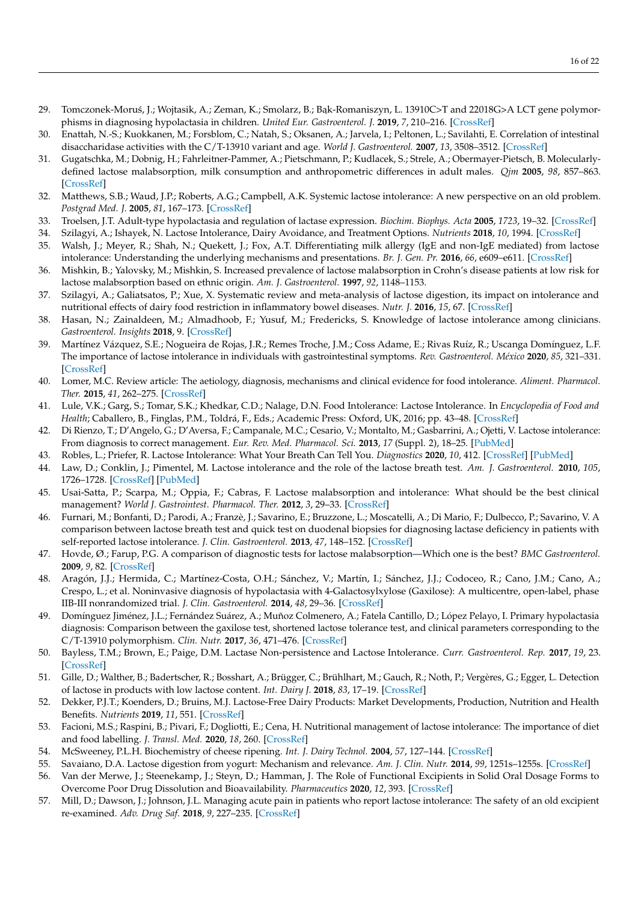- <span id="page-15-0"></span>29. Tomczonek-Moruś, J.; Wojtasik, A.; Zeman, K.; Smolarz, B.; Bak-Romaniszyn, L. 13910C>T and 22018G>A LCT gene polymorphisms in diagnosing hypolactasia in children. *United Eur. Gastroenterol. J.* **2019**, *7*, 210–216. [\[CrossRef\]](http://doi.org/10.1177/2050640618814136)
- <span id="page-15-1"></span>30. Enattah, N.-S.; Kuokkanen, M.; Forsblom, C.; Natah, S.; Oksanen, A.; Jarvela, I.; Peltonen, L.; Savilahti, E. Correlation of intestinal disaccharidase activities with the C/T-13910 variant and age. *World J. Gastroenterol.* **2007**, *13*, 3508–3512. [\[CrossRef\]](http://doi.org/10.3748/wjg.v13.i25.3508)
- <span id="page-15-2"></span>31. Gugatschka, M.; Dobnig, H.; Fahrleitner-Pammer, A.; Pietschmann, P.; Kudlacek, S.; Strele, A.; Obermayer-Pietsch, B. Molecularlydefined lactose malabsorption, milk consumption and anthropometric differences in adult males. *Qjm* **2005**, *98*, 857–863. [\[CrossRef\]](http://doi.org/10.1093/qjmed/hci140)
- <span id="page-15-3"></span>32. Matthews, S.B.; Waud, J.P.; Roberts, A.G.; Campbell, A.K. Systemic lactose intolerance: A new perspective on an old problem. *Postgrad Med. J.* **2005**, *81*, 167–173. [\[CrossRef\]](http://doi.org/10.1136/pgmj.2004.025551)
- <span id="page-15-4"></span>33. Troelsen, J.T. Adult-type hypolactasia and regulation of lactase expression. *Biochim. Biophys. Acta* **2005**, *1723*, 19–32. [\[CrossRef\]](http://doi.org/10.1016/j.bbagen.2005.02.003)
- <span id="page-15-5"></span>34. Szilagyi, A.; Ishayek, N. Lactose Intolerance, Dairy Avoidance, and Treatment Options. *Nutrients* **2018**, *10*, 1994. [\[CrossRef\]](http://doi.org/10.3390/nu10121994)
- <span id="page-15-6"></span>35. Walsh, J.; Meyer, R.; Shah, N.; Quekett, J.; Fox, A.T. Differentiating milk allergy (IgE and non-IgE mediated) from lactose intolerance: Understanding the underlying mechanisms and presentations. *Br. J. Gen. Pr.* **2016**, *66*, e609–e611. [\[CrossRef\]](http://doi.org/10.3399/bjgp16X686521)
- <span id="page-15-7"></span>36. Mishkin, B.; Yalovsky, M.; Mishkin, S. Increased prevalence of lactose malabsorption in Crohn's disease patients at low risk for lactose malabsorption based on ethnic origin. *Am. J. Gastroenterol.* **1997**, *92*, 1148–1153.
- <span id="page-15-8"></span>37. Szilagyi, A.; Galiatsatos, P.; Xue, X. Systematic review and meta-analysis of lactose digestion, its impact on intolerance and nutritional effects of dairy food restriction in inflammatory bowel diseases. *Nutr. J.* **2016**, *15*, 67. [\[CrossRef\]](http://doi.org/10.1186/s12937-016-0183-8)
- <span id="page-15-9"></span>38. Hasan, N.; Zainaldeen, M.; Almadhoob, F.; Yusuf, M.; Fredericks, S. Knowledge of lactose intolerance among clinicians. *Gastroenterol. Insights* **2018**, 9. [\[CrossRef\]](http://doi.org/10.4081/gi.2018.7740)
- 39. Martínez Vázquez, S.E.; Nogueira de Rojas, J.R.; Remes Troche, J.M.; Coss Adame, E.; Rivas Ruíz, R.; Uscanga Domínguez, L.F. The importance of lactose intolerance in individuals with gastrointestinal symptoms. *Rev. Gastroenterol. México* **2020**, *85*, 321–331. [\[CrossRef\]](http://doi.org/10.1016/j.rgmx.2020.03.002)
- <span id="page-15-10"></span>40. Lomer, M.C. Review article: The aetiology, diagnosis, mechanisms and clinical evidence for food intolerance. *Aliment. Pharmacol. Ther.* **2015**, *41*, 262–275. [\[CrossRef\]](http://doi.org/10.1111/apt.13041)
- <span id="page-15-11"></span>41. Lule, V.K.; Garg, S.; Tomar, S.K.; Khedkar, C.D.; Nalage, D.N. Food Intolerance: Lactose Intolerance. In *Encyclopedia of Food and Health*; Caballero, B., Finglas, P.M., Toldrá, F., Eds.; Academic Press: Oxford, UK, 2016; pp. 43–48. [\[CrossRef\]](http://doi.org/10.1016/B978-0-12-384947-2.00312-3)
- <span id="page-15-12"></span>42. Di Rienzo, T.; D'Angelo, G.; D'Aversa, F.; Campanale, M.C.; Cesario, V.; Montalto, M.; Gasbarrini, A.; Ojetti, V. Lactose intolerance: From diagnosis to correct management. *Eur. Rev. Med. Pharmacol. Sci.* **2013**, *17* (Suppl. 2), 18–25. [\[PubMed\]](http://www.ncbi.nlm.nih.gov/pubmed/24443063)
- <span id="page-15-13"></span>43. Robles, L.; Priefer, R. Lactose Intolerance: What Your Breath Can Tell You. *Diagnostics* **2020**, *10*, 412. [\[CrossRef\]](http://doi.org/10.3390/diagnostics10060412) [\[PubMed\]](http://www.ncbi.nlm.nih.gov/pubmed/32560312)
- <span id="page-15-14"></span>44. Law, D.; Conklin, J.; Pimentel, M. Lactose intolerance and the role of the lactose breath test. *Am. J. Gastroenterol.* **2010**, *105*, 1726–1728. [\[CrossRef\]](http://doi.org/10.1038/ajg.2010.146) [\[PubMed\]](http://www.ncbi.nlm.nih.gov/pubmed/20686460)
- <span id="page-15-15"></span>45. Usai-Satta, P.; Scarpa, M.; Oppia, F.; Cabras, F. Lactose malabsorption and intolerance: What should be the best clinical management? *World J. Gastrointest. Pharmacol. Ther.* **2012**, *3*, 29–33. [\[CrossRef\]](http://doi.org/10.4292/wjgpt.v3.i3.29)
- <span id="page-15-16"></span>46. Furnari, M.; Bonfanti, D.; Parodi, A.; Franzè, J.; Savarino, E.; Bruzzone, L.; Moscatelli, A.; Di Mario, F.; Dulbecco, P.; Savarino, V. A comparison between lactose breath test and quick test on duodenal biopsies for diagnosing lactase deficiency in patients with self-reported lactose intolerance. *J. Clin. Gastroenterol.* **2013**, *47*, 148–152. [\[CrossRef\]](http://doi.org/10.1097/MCG.0b013e31824e9132)
- <span id="page-15-17"></span>47. Hovde, Ø.; Farup, P.G. A comparison of diagnostic tests for lactose malabsorption—Which one is the best? *BMC Gastroenterol.* **2009**, *9*, 82. [\[CrossRef\]](http://doi.org/10.1186/1471-230X-9-82)
- <span id="page-15-18"></span>48. Aragón, J.J.; Hermida, C.; Martínez-Costa, O.H.; Sánchez, V.; Martín, I.; Sánchez, J.J.; Codoceo, R.; Cano, J.M.; Cano, A.; Crespo, L.; et al. Noninvasive diagnosis of hypolactasia with 4-Galactosylxylose (Gaxilose): A multicentre, open-label, phase IIB-III nonrandomized trial. *J. Clin. Gastroenterol.* **2014**, *48*, 29–36. [\[CrossRef\]](http://doi.org/10.1097/MCG.0b013e318297fb10)
- <span id="page-15-19"></span>49. Domínguez Jiménez, J.L.; Fernández Suárez, A.; Muñoz Colmenero, A.; Fatela Cantillo, D.; López Pelayo, I. Primary hypolactasia diagnosis: Comparison between the gaxilose test, shortened lactose tolerance test, and clinical parameters corresponding to the C/T-13910 polymorphism. *Clin. Nutr.* **2017**, *36*, 471–476. [\[CrossRef\]](http://doi.org/10.1016/j.clnu.2016.01.006)
- <span id="page-15-20"></span>50. Bayless, T.M.; Brown, E.; Paige, D.M. Lactase Non-persistence and Lactose Intolerance. *Curr. Gastroenterol. Rep.* **2017**, *19*, 23. [\[CrossRef\]](http://doi.org/10.1007/s11894-017-0558-9)
- <span id="page-15-21"></span>51. Gille, D.; Walther, B.; Badertscher, R.; Bosshart, A.; Brügger, C.; Brühlhart, M.; Gauch, R.; Noth, P.; Vergères, G.; Egger, L. Detection of lactose in products with low lactose content. *Int. Dairy J.* **2018**, *83*, 17–19. [\[CrossRef\]](http://doi.org/10.1016/j.idairyj.2018.03.003)
- <span id="page-15-22"></span>52. Dekker, P.J.T.; Koenders, D.; Bruins, M.J. Lactose-Free Dairy Products: Market Developments, Production, Nutrition and Health Benefits. *Nutrients* **2019**, *11*, 551. [\[CrossRef\]](http://doi.org/10.3390/nu11030551)
- <span id="page-15-23"></span>53. Facioni, M.S.; Raspini, B.; Pivari, F.; Dogliotti, E.; Cena, H. Nutritional management of lactose intolerance: The importance of diet and food labelling. *J. Transl. Med.* **2020**, *18*, 260. [\[CrossRef\]](http://doi.org/10.1186/s12967-020-02429-2)
- <span id="page-15-24"></span>54. McSweeney, P.L.H. Biochemistry of cheese ripening. *Int. J. Dairy Technol.* **2004**, *57*, 127–144. [\[CrossRef\]](http://doi.org/10.1111/j.1471-0307.2004.00147.x)
- <span id="page-15-25"></span>55. Savaiano, D.A. Lactose digestion from yogurt: Mechanism and relevance. *Am. J. Clin. Nutr.* **2014**, *99*, 1251s–1255s. [\[CrossRef\]](http://doi.org/10.3945/ajcn.113.073023)
- <span id="page-15-26"></span>56. Van der Merwe, J.; Steenekamp, J.; Steyn, D.; Hamman, J. The Role of Functional Excipients in Solid Oral Dosage Forms to Overcome Poor Drug Dissolution and Bioavailability. *Pharmaceutics* **2020**, *12*, 393. [\[CrossRef\]](http://doi.org/10.3390/pharmaceutics12050393)
- <span id="page-15-27"></span>57. Mill, D.; Dawson, J.; Johnson, J.L. Managing acute pain in patients who report lactose intolerance: The safety of an old excipient re-examined. *Adv. Drug Saf.* **2018**, *9*, 227–235. [\[CrossRef\]](http://doi.org/10.1177/2042098617751498)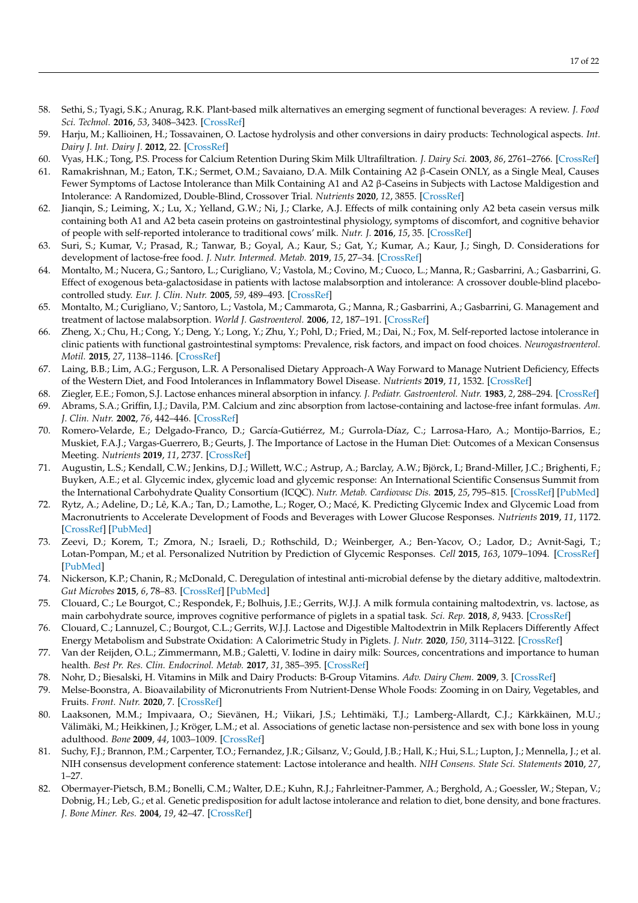- <span id="page-16-0"></span>58. Sethi, S.; Tyagi, S.K.; Anurag, R.K. Plant-based milk alternatives an emerging segment of functional beverages: A review. *J. Food Sci. Technol.* **2016**, *53*, 3408–3423. [\[CrossRef\]](http://doi.org/10.1007/s13197-016-2328-3)
- <span id="page-16-1"></span>59. Harju, M.; Kallioinen, H.; Tossavainen, O. Lactose hydrolysis and other conversions in dairy products: Technological aspects. *Int. Dairy J. Int. Dairy J.* **2012**, 22. [\[CrossRef\]](http://doi.org/10.1016/j.idairyj.2011.09.011)
- <span id="page-16-2"></span>60. Vyas, H.K.; Tong, P.S. Process for Calcium Retention During Skim Milk Ultrafiltration. *J. Dairy Sci.* **2003**, *86*, 2761–2766. [\[CrossRef\]](http://doi.org/10.3168/jds.S0022-0302(03)73872-7)
- <span id="page-16-3"></span>61. Ramakrishnan, M.; Eaton, T.K.; Sermet, O.M.; Savaiano, D.A. Milk Containing A2 β-Casein ONLY, as a Single Meal, Causes Fewer Symptoms of Lactose Intolerance than Milk Containing A1 and A2 β-Caseins in Subjects with Lactose Maldigestion and Intolerance: A Randomized, Double-Blind, Crossover Trial. *Nutrients* **2020**, *12*, 3855. [\[CrossRef\]](http://doi.org/10.3390/nu12123855)
- <span id="page-16-4"></span>62. Jianqin, S.; Leiming, X.; Lu, X.; Yelland, G.W.; Ni, J.; Clarke, A.J. Effects of milk containing only A2 beta casein versus milk containing both A1 and A2 beta casein proteins on gastrointestinal physiology, symptoms of discomfort, and cognitive behavior of people with self-reported intolerance to traditional cows' milk. *Nutr. J.* **2016**, *15*, 35. [\[CrossRef\]](http://doi.org/10.1186/s12937-016-0147-z)
- <span id="page-16-5"></span>63. Suri, S.; Kumar, V.; Prasad, R.; Tanwar, B.; Goyal, A.; Kaur, S.; Gat, Y.; Kumar, A.; Kaur, J.; Singh, D. Considerations for development of lactose-free food. *J. Nutr. Intermed. Metab.* **2019**, *15*, 27–34. [\[CrossRef\]](http://doi.org/10.1016/j.jnim.2018.11.003)
- <span id="page-16-6"></span>64. Montalto, M.; Nucera, G.; Santoro, L.; Curigliano, V.; Vastola, M.; Covino, M.; Cuoco, L.; Manna, R.; Gasbarrini, A.; Gasbarrini, G. Effect of exogenous beta-galactosidase in patients with lactose malabsorption and intolerance: A crossover double-blind placebocontrolled study. *Eur. J. Clin. Nutr.* **2005**, *59*, 489–493. [\[CrossRef\]](http://doi.org/10.1038/sj.ejcn.1602098)
- <span id="page-16-7"></span>65. Montalto, M.; Curigliano, V.; Santoro, L.; Vastola, M.; Cammarota, G.; Manna, R.; Gasbarrini, A.; Gasbarrini, G. Management and treatment of lactose malabsorption. *World J. Gastroenterol.* **2006**, *12*, 187–191. [\[CrossRef\]](http://doi.org/10.3748/wjg.v12.i2.187)
- <span id="page-16-8"></span>66. Zheng, X.; Chu, H.; Cong, Y.; Deng, Y.; Long, Y.; Zhu, Y.; Pohl, D.; Fried, M.; Dai, N.; Fox, M. Self-reported lactose intolerance in clinic patients with functional gastrointestinal symptoms: Prevalence, risk factors, and impact on food choices. *Neurogastroenterol. Motil.* **2015**, *27*, 1138–1146. [\[CrossRef\]](http://doi.org/10.1111/nmo.12602)
- <span id="page-16-9"></span>67. Laing, B.B.; Lim, A.G.; Ferguson, L.R. A Personalised Dietary Approach-A Way Forward to Manage Nutrient Deficiency, Effects of the Western Diet, and Food Intolerances in Inflammatory Bowel Disease. *Nutrients* **2019**, *11*, 1532. [\[CrossRef\]](http://doi.org/10.3390/nu11071532)
- <span id="page-16-10"></span>68. Ziegler, E.E.; Fomon, S.J. Lactose enhances mineral absorption in infancy. *J. Pediatr. Gastroenterol. Nutr.* **1983**, *2*, 288–294. [\[CrossRef\]](http://doi.org/10.1097/00005176-198305000-00012)
- <span id="page-16-11"></span>69. Abrams, S.A.; Griffin, I.J.; Davila, P.M. Calcium and zinc absorption from lactose-containing and lactose-free infant formulas. *Am. J. Clin. Nutr.* **2002**, *76*, 442–446. [\[CrossRef\]](http://doi.org/10.1093/ajcn/76.2.442)
- <span id="page-16-12"></span>70. Romero-Velarde, E.; Delgado-Franco, D.; García-Gutiérrez, M.; Gurrola-Díaz, C.; Larrosa-Haro, A.; Montijo-Barrios, E.; Muskiet, F.A.J.; Vargas-Guerrero, B.; Geurts, J. The Importance of Lactose in the Human Diet: Outcomes of a Mexican Consensus Meeting. *Nutrients* **2019**, *11*, 2737. [\[CrossRef\]](http://doi.org/10.3390/nu11112737)
- <span id="page-16-13"></span>71. Augustin, L.S.; Kendall, C.W.; Jenkins, D.J.; Willett, W.C.; Astrup, A.; Barclay, A.W.; Björck, I.; Brand-Miller, J.C.; Brighenti, F.; Buyken, A.E.; et al. Glycemic index, glycemic load and glycemic response: An International Scientific Consensus Summit from the International Carbohydrate Quality Consortium (ICQC). *Nutr. Metab. Cardiovasc Dis.* **2015**, *25*, 795–815. [\[CrossRef\]](http://doi.org/10.1016/j.numecd.2015.05.005) [\[PubMed\]](http://www.ncbi.nlm.nih.gov/pubmed/26160327)
- <span id="page-16-14"></span>72. Rytz, A.; Adeline, D.; Lê, K.A.; Tan, D.; Lamothe, L.; Roger, O.; Macé, K. Predicting Glycemic Index and Glycemic Load from Macronutrients to Accelerate Development of Foods and Beverages with Lower Glucose Responses. *Nutrients* **2019**, *11*, 1172. [\[CrossRef\]](http://doi.org/10.3390/nu11051172) [\[PubMed\]](http://www.ncbi.nlm.nih.gov/pubmed/31130625)
- <span id="page-16-15"></span>73. Zeevi, D.; Korem, T.; Zmora, N.; Israeli, D.; Rothschild, D.; Weinberger, A.; Ben-Yacov, O.; Lador, D.; Avnit-Sagi, T.; Lotan-Pompan, M.; et al. Personalized Nutrition by Prediction of Glycemic Responses. *Cell* **2015**, *163*, 1079–1094. [\[CrossRef\]](http://doi.org/10.1016/j.cell.2015.11.001) [\[PubMed\]](http://www.ncbi.nlm.nih.gov/pubmed/26590418)
- <span id="page-16-16"></span>74. Nickerson, K.P.; Chanin, R.; McDonald, C. Deregulation of intestinal anti-microbial defense by the dietary additive, maltodextrin. *Gut Microbes* **2015**, *6*, 78–83. [\[CrossRef\]](http://doi.org/10.1080/19490976.2015.1005477) [\[PubMed\]](http://www.ncbi.nlm.nih.gov/pubmed/25738413)
- <span id="page-16-17"></span>75. Clouard, C.; Le Bourgot, C.; Respondek, F.; Bolhuis, J.E.; Gerrits, W.J.J. A milk formula containing maltodextrin, vs. lactose, as main carbohydrate source, improves cognitive performance of piglets in a spatial task. *Sci. Rep.* **2018**, *8*, 9433. [\[CrossRef\]](http://doi.org/10.1038/s41598-018-27796-1)
- <span id="page-16-18"></span>76. Clouard, C.; Lannuzel, C.; Bourgot, C.L.; Gerrits, W.J.J. Lactose and Digestible Maltodextrin in Milk Replacers Differently Affect Energy Metabolism and Substrate Oxidation: A Calorimetric Study in Piglets. *J. Nutr.* **2020**, *150*, 3114–3122. [\[CrossRef\]](http://doi.org/10.1093/jn/nxaa296)
- <span id="page-16-19"></span>77. Van der Reijden, O.L.; Zimmermann, M.B.; Galetti, V. Iodine in dairy milk: Sources, concentrations and importance to human health. *Best Pr. Res. Clin. Endocrinol. Metab.* **2017**, *31*, 385–395. [\[CrossRef\]](http://doi.org/10.1016/j.beem.2017.10.004)
- 78. Nohr, D.; Biesalski, H. Vitamins in Milk and Dairy Products: B-Group Vitamins. *Adv. Dairy Chem.* **2009**, 3. [\[CrossRef\]](http://doi.org/10.1007/978-0-387-84865-5_13)
- <span id="page-16-20"></span>79. Melse-Boonstra, A. Bioavailability of Micronutrients From Nutrient-Dense Whole Foods: Zooming in on Dairy, Vegetables, and Fruits. *Front. Nutr.* **2020**, 7. [\[CrossRef\]](http://doi.org/10.3389/fnut.2020.00101)
- <span id="page-16-21"></span>80. Laaksonen, M.M.; Impivaara, O.; Sievänen, H.; Viikari, J.S.; Lehtimäki, T.J.; Lamberg-Allardt, C.J.; Kärkkäinen, M.U.; Välimäki, M.; Heikkinen, J.; Kröger, L.M.; et al. Associations of genetic lactase non-persistence and sex with bone loss in young adulthood. *Bone* **2009**, *44*, 1003–1009. [\[CrossRef\]](http://doi.org/10.1016/j.bone.2008.12.019)
- <span id="page-16-22"></span>81. Suchy, F.J.; Brannon, P.M.; Carpenter, T.O.; Fernandez, J.R.; Gilsanz, V.; Gould, J.B.; Hall, K.; Hui, S.L.; Lupton, J.; Mennella, J.; et al. NIH consensus development conference statement: Lactose intolerance and health. *NIH Consens. State Sci. Statements* **2010**, *27*, 1–27.
- <span id="page-16-23"></span>82. Obermayer-Pietsch, B.M.; Bonelli, C.M.; Walter, D.E.; Kuhn, R.J.; Fahrleitner-Pammer, A.; Berghold, A.; Goessler, W.; Stepan, V.; Dobnig, H.; Leb, G.; et al. Genetic predisposition for adult lactose intolerance and relation to diet, bone density, and bone fractures. *J. Bone Miner. Res.* **2004**, *19*, 42–47. [\[CrossRef\]](http://doi.org/10.1359/jbmr.0301207)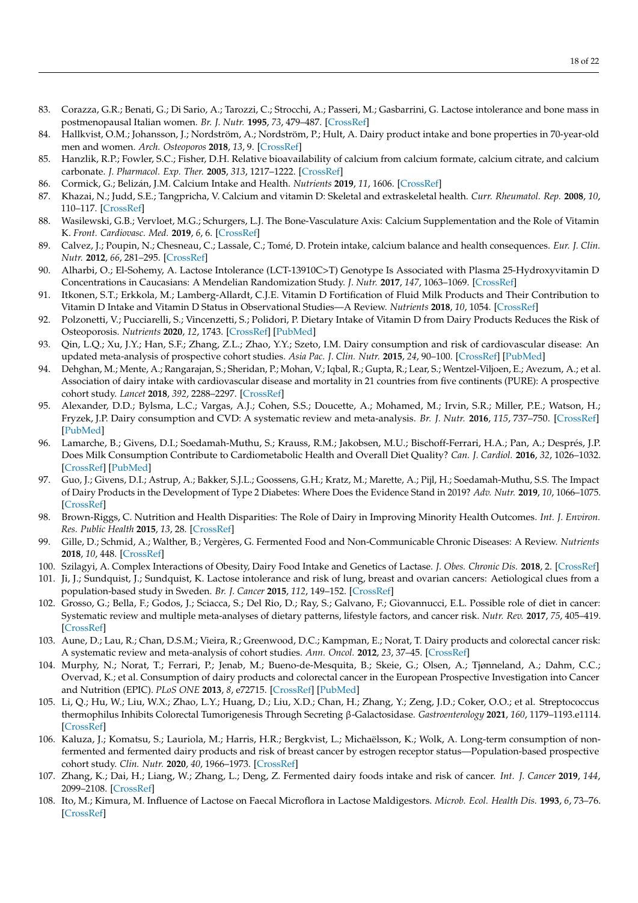- 83. Corazza, G.R.; Benati, G.; Di Sario, A.; Tarozzi, C.; Strocchi, A.; Passeri, M.; Gasbarrini, G. Lactose intolerance and bone mass in postmenopausal Italian women. *Br. J. Nutr.* **1995**, *73*, 479–487. [\[CrossRef\]](http://doi.org/10.1079/BJN19950050)
- <span id="page-17-0"></span>84. Hallkvist, O.M.; Johansson, J.; Nordström, A.; Nordström, P.; Hult, A. Dairy product intake and bone properties in 70-year-old men and women. *Arch. Osteoporos* **2018**, *13*, 9. [\[CrossRef\]](http://doi.org/10.1007/s11657-018-0420-1)
- <span id="page-17-1"></span>85. Hanzlik, R.P.; Fowler, S.C.; Fisher, D.H. Relative bioavailability of calcium from calcium formate, calcium citrate, and calcium carbonate. *J. Pharmacol. Exp. Ther.* **2005**, *313*, 1217–1222. [\[CrossRef\]](http://doi.org/10.1124/jpet.104.081893)
- <span id="page-17-2"></span>86. Cormick, G.; Belizán, J.M. Calcium Intake and Health. *Nutrients* **2019**, *11*, 1606. [\[CrossRef\]](http://doi.org/10.3390/nu11071606)
- <span id="page-17-3"></span>87. Khazai, N.; Judd, S.E.; Tangpricha, V. Calcium and vitamin D: Skeletal and extraskeletal health. *Curr. Rheumatol. Rep.* **2008**, *10*, 110–117. [\[CrossRef\]](http://doi.org/10.1007/s11926-008-0020-y)
- 88. Wasilewski, G.B.; Vervloet, M.G.; Schurgers, L.J. The Bone-Vasculature Axis: Calcium Supplementation and the Role of Vitamin K. *Front. Cardiovasc. Med.* **2019**, *6*, 6. [\[CrossRef\]](http://doi.org/10.3389/fcvm.2019.00006)
- <span id="page-17-4"></span>89. Calvez, J.; Poupin, N.; Chesneau, C.; Lassale, C.; Tomé, D. Protein intake, calcium balance and health consequences. *Eur. J. Clin. Nutr.* **2012**, *66*, 281–295. [\[CrossRef\]](http://doi.org/10.1038/ejcn.2011.196)
- <span id="page-17-5"></span>90. Alharbi, O.; El-Sohemy, A. Lactose Intolerance (LCT-13910C>T) Genotype Is Associated with Plasma 25-Hydroxyvitamin D Concentrations in Caucasians: A Mendelian Randomization Study. *J. Nutr.* **2017**, *147*, 1063–1069. [\[CrossRef\]](http://doi.org/10.3945/jn.116.246108)
- <span id="page-17-6"></span>91. Itkonen, S.T.; Erkkola, M.; Lamberg-Allardt, C.J.E. Vitamin D Fortification of Fluid Milk Products and Their Contribution to Vitamin D Intake and Vitamin D Status in Observational Studies—A Review. *Nutrients* **2018**, *10*, 1054. [\[CrossRef\]](http://doi.org/10.3390/nu10081054)
- <span id="page-17-7"></span>92. Polzonetti, V.; Pucciarelli, S.; Vincenzetti, S.; Polidori, P. Dietary Intake of Vitamin D from Dairy Products Reduces the Risk of Osteoporosis. *Nutrients* **2020**, *12*, 1743. [\[CrossRef\]](http://doi.org/10.3390/nu12061743) [\[PubMed\]](http://www.ncbi.nlm.nih.gov/pubmed/32532150)
- <span id="page-17-8"></span>93. Qin, L.Q.; Xu, J.Y.; Han, S.F.; Zhang, Z.L.; Zhao, Y.Y.; Szeto, I.M. Dairy consumption and risk of cardiovascular disease: An updated meta-analysis of prospective cohort studies. *Asia Pac. J. Clin. Nutr.* **2015**, *24*, 90–100. [\[CrossRef\]](http://doi.org/10.6133/apjcn.2015.24.1.09) [\[PubMed\]](http://www.ncbi.nlm.nih.gov/pubmed/25740747)
- <span id="page-17-9"></span>94. Dehghan, M.; Mente, A.; Rangarajan, S.; Sheridan, P.; Mohan, V.; Iqbal, R.; Gupta, R.; Lear, S.; Wentzel-Viljoen, E.; Avezum, A.; et al. Association of dairy intake with cardiovascular disease and mortality in 21 countries from five continents (PURE): A prospective cohort study. *Lancet* **2018**, *392*, 2288–2297. [\[CrossRef\]](http://doi.org/10.1016/S0140-6736(18)31812-9)
- <span id="page-17-10"></span>95. Alexander, D.D.; Bylsma, L.C.; Vargas, A.J.; Cohen, S.S.; Doucette, A.; Mohamed, M.; Irvin, S.R.; Miller, P.E.; Watson, H.; Fryzek, J.P. Dairy consumption and CVD: A systematic review and meta-analysis. *Br. J. Nutr.* **2016**, *115*, 737–750. [\[CrossRef\]](http://doi.org/10.1017/S0007114515005000) [\[PubMed\]](http://www.ncbi.nlm.nih.gov/pubmed/26786887)
- <span id="page-17-11"></span>96. Lamarche, B.; Givens, D.I.; Soedamah-Muthu, S.; Krauss, R.M.; Jakobsen, M.U.; Bischoff-Ferrari, H.A.; Pan, A.; Després, J.P. Does Milk Consumption Contribute to Cardiometabolic Health and Overall Diet Quality? *Can. J. Cardiol.* **2016**, *32*, 1026–1032. [\[CrossRef\]](http://doi.org/10.1016/j.cjca.2015.12.033) [\[PubMed\]](http://www.ncbi.nlm.nih.gov/pubmed/27118060)
- <span id="page-17-12"></span>97. Guo, J.; Givens, D.I.; Astrup, A.; Bakker, S.J.L.; Goossens, G.H.; Kratz, M.; Marette, A.; Pijl, H.; Soedamah-Muthu, S.S. The Impact of Dairy Products in the Development of Type 2 Diabetes: Where Does the Evidence Stand in 2019? *Adv. Nutr.* **2019**, *10*, 1066–1075. [\[CrossRef\]](http://doi.org/10.1093/advances/nmz050)
- 98. Brown-Riggs, C. Nutrition and Health Disparities: The Role of Dairy in Improving Minority Health Outcomes. *Int. J. Environ. Res. Public Health* **2015**, *13*, 28. [\[CrossRef\]](http://doi.org/10.3390/ijerph13010028)
- <span id="page-17-19"></span>99. Gille, D.; Schmid, A.; Walther, B.; Vergères, G. Fermented Food and Non-Communicable Chronic Diseases: A Review. *Nutrients* **2018**, *10*, 448. [\[CrossRef\]](http://doi.org/10.3390/nu10040448)
- <span id="page-17-13"></span>100. Szilagyi, A. Complex Interactions of Obesity, Dairy Food Intake and Genetics of Lactase. *J. Obes. Chronic Dis.* **2018**, 2. [\[CrossRef\]](http://doi.org/10.17756/jocd.2018-017)
- <span id="page-17-14"></span>101. Ji, J.; Sundquist, J.; Sundquist, K. Lactose intolerance and risk of lung, breast and ovarian cancers: Aetiological clues from a population-based study in Sweden. *Br. J. Cancer* **2015**, *112*, 149–152. [\[CrossRef\]](http://doi.org/10.1038/bjc.2014.544)
- <span id="page-17-15"></span>102. Grosso, G.; Bella, F.; Godos, J.; Sciacca, S.; Del Rio, D.; Ray, S.; Galvano, F.; Giovannucci, E.L. Possible role of diet in cancer: Systematic review and multiple meta-analyses of dietary patterns, lifestyle factors, and cancer risk. *Nutr. Rev.* **2017**, *75*, 405–419. [\[CrossRef\]](http://doi.org/10.1093/nutrit/nux012)
- <span id="page-17-16"></span>103. Aune, D.; Lau, R.; Chan, D.S.M.; Vieira, R.; Greenwood, D.C.; Kampman, E.; Norat, T. Dairy products and colorectal cancer risk: A systematic review and meta-analysis of cohort studies. *Ann. Oncol.* **2012**, *23*, 37–45. [\[CrossRef\]](http://doi.org/10.1093/annonc/mdr269)
- <span id="page-17-17"></span>104. Murphy, N.; Norat, T.; Ferrari, P.; Jenab, M.; Bueno-de-Mesquita, B.; Skeie, G.; Olsen, A.; Tjønneland, A.; Dahm, C.C.; Overvad, K.; et al. Consumption of dairy products and colorectal cancer in the European Prospective Investigation into Cancer and Nutrition (EPIC). *PLoS ONE* **2013**, *8*, e72715. [\[CrossRef\]](http://doi.org/10.1371/journal.pone.0072715) [\[PubMed\]](http://www.ncbi.nlm.nih.gov/pubmed/24023767)
- <span id="page-17-18"></span>105. Li, Q.; Hu, W.; Liu, W.X.; Zhao, L.Y.; Huang, D.; Liu, X.D.; Chan, H.; Zhang, Y.; Zeng, J.D.; Coker, O.O.; et al. Streptococcus thermophilus Inhibits Colorectal Tumorigenesis Through Secreting β-Galactosidase. *Gastroenterology* **2021**, *160*, 1179–1193.e1114. [\[CrossRef\]](http://doi.org/10.1053/j.gastro.2020.09.003)
- <span id="page-17-20"></span>106. Kaluza, J.; Komatsu, S.; Lauriola, M.; Harris, H.R.; Bergkvist, L.; Michaëlsson, K.; Wolk, A. Long-term consumption of nonfermented and fermented dairy products and risk of breast cancer by estrogen receptor status—Population-based prospective cohort study. *Clin. Nutr.* **2020**, *40*, 1966–1973. [\[CrossRef\]](http://doi.org/10.1016/j.clnu.2020.09.013)
- <span id="page-17-21"></span>107. Zhang, K.; Dai, H.; Liang, W.; Zhang, L.; Deng, Z. Fermented dairy foods intake and risk of cancer. *Int. J. Cancer* **2019**, *144*, 2099–2108. [\[CrossRef\]](http://doi.org/10.1002/ijc.31959)
- <span id="page-17-22"></span>108. Ito, M.; Kimura, M. Influence of Lactose on Faecal Microflora in Lactose Maldigestors. *Microb. Ecol. Health Dis.* **1993**, *6*, 73–76. [\[CrossRef\]](http://doi.org/10.3109/08910609309141564)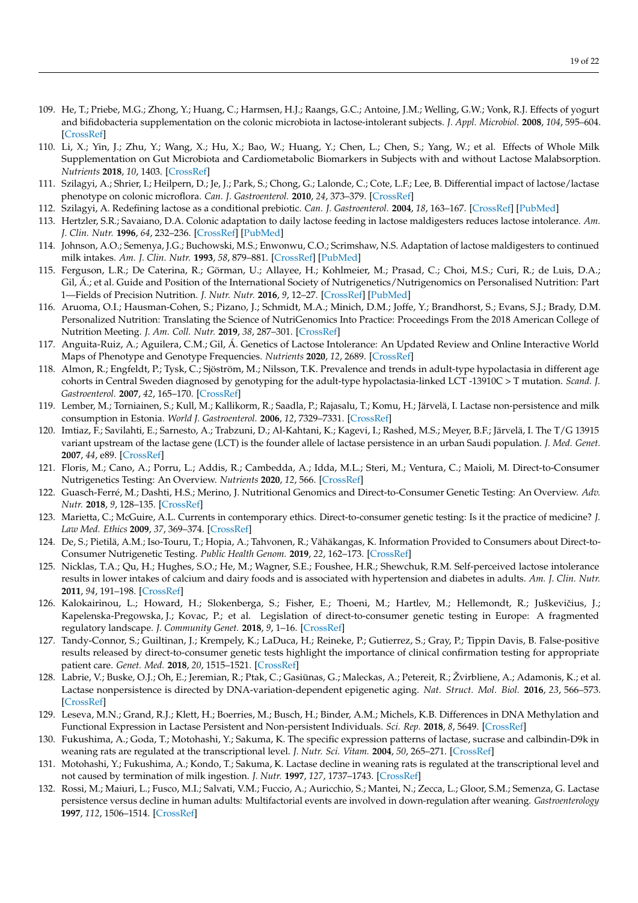- 109. He, T.; Priebe, M.G.; Zhong, Y.; Huang, C.; Harmsen, H.J.; Raangs, G.C.; Antoine, J.M.; Welling, G.W.; Vonk, R.J. Effects of yogurt
- and bifidobacteria supplementation on the colonic microbiota in lactose-intolerant subjects. *J. Appl. Microbiol.* **2008**, *104*, 595–604. [\[CrossRef\]](http://doi.org/10.1111/j.1365-2672.2007.03579.x)
- <span id="page-18-0"></span>110. Li, X.; Yin, J.; Zhu, Y.; Wang, X.; Hu, X.; Bao, W.; Huang, Y.; Chen, L.; Chen, S.; Yang, W.; et al. Effects of Whole Milk Supplementation on Gut Microbiota and Cardiometabolic Biomarkers in Subjects with and without Lactose Malabsorption. *Nutrients* **2018**, *10*, 1403. [\[CrossRef\]](http://doi.org/10.3390/nu10101403)
- <span id="page-18-1"></span>111. Szilagyi, A.; Shrier, I.; Heilpern, D.; Je, J.; Park, S.; Chong, G.; Lalonde, C.; Cote, L.F.; Lee, B. Differential impact of lactose/lactase phenotype on colonic microflora. *Can. J. Gastroenterol.* **2010**, *24*, 373–379. [\[CrossRef\]](http://doi.org/10.1155/2010/649312)
- <span id="page-18-2"></span>112. Szilagyi, A. Redefining lactose as a conditional prebiotic. *Can. J. Gastroenterol.* **2004**, *18*, 163–167. [\[CrossRef\]](http://doi.org/10.1155/2004/350732) [\[PubMed\]](http://www.ncbi.nlm.nih.gov/pubmed/15054489)
- <span id="page-18-3"></span>113. Hertzler, S.R.; Savaiano, D.A. Colonic adaptation to daily lactose feeding in lactose maldigesters reduces lactose intolerance. *Am. J. Clin. Nutr.* **1996**, *64*, 232–236. [\[CrossRef\]](http://doi.org/10.1093/ajcn/64.2.232) [\[PubMed\]](http://www.ncbi.nlm.nih.gov/pubmed/8694025)
- <span id="page-18-4"></span>114. Johnson, A.O.; Semenya, J.G.; Buchowski, M.S.; Enwonwu, C.O.; Scrimshaw, N.S. Adaptation of lactose maldigesters to continued milk intakes. *Am. J. Clin. Nutr.* **1993**, *58*, 879–881. [\[CrossRef\]](http://doi.org/10.1093/ajcn/58.6.879) [\[PubMed\]](http://www.ncbi.nlm.nih.gov/pubmed/8249871)
- <span id="page-18-5"></span>115. Ferguson, L.R.; De Caterina, R.; Görman, U.; Allayee, H.; Kohlmeier, M.; Prasad, C.; Choi, M.S.; Curi, R.; de Luis, D.A.; Gil, Á.; et al. Guide and Position of the International Society of Nutrigenetics/Nutrigenomics on Personalised Nutrition: Part 1—Fields of Precision Nutrition. *J. Nutr. Nutr.* **2016**, *9*, 12–27. [\[CrossRef\]](http://doi.org/10.1159/000445350) [\[PubMed\]](http://www.ncbi.nlm.nih.gov/pubmed/27169401)
- <span id="page-18-6"></span>116. Aruoma, O.I.; Hausman-Cohen, S.; Pizano, J.; Schmidt, M.A.; Minich, D.M.; Joffe, Y.; Brandhorst, S.; Evans, S.J.; Brady, D.M. Personalized Nutrition: Translating the Science of NutriGenomics Into Practice: Proceedings From the 2018 American College of Nutrition Meeting. *J. Am. Coll. Nutr.* **2019**, *38*, 287–301. [\[CrossRef\]](http://doi.org/10.1080/07315724.2019.1582980)
- <span id="page-18-7"></span>117. Anguita-Ruiz, A.; Aguilera, C.M.; Gil, Á. Genetics of Lactose Intolerance: An Updated Review and Online Interactive World Maps of Phenotype and Genotype Frequencies. *Nutrients* **2020**, *12*, 2689. [\[CrossRef\]](http://doi.org/10.3390/nu12092689)
- <span id="page-18-8"></span>118. Almon, R.; Engfeldt, P.; Tysk, C.; Sjöström, M.; Nilsson, T.K. Prevalence and trends in adult-type hypolactasia in different age cohorts in Central Sweden diagnosed by genotyping for the adult-type hypolactasia-linked LCT -13910C > T mutation. *Scand. J. Gastroenterol.* **2007**, *42*, 165–170. [\[CrossRef\]](http://doi.org/10.1080/00365520600825257)
- <span id="page-18-9"></span>119. Lember, M.; Torniainen, S.; Kull, M.; Kallikorm, R.; Saadla, P.; Rajasalu, T.; Komu, H.; Järvelä, I. Lactase non-persistence and milk consumption in Estonia. *World J. Gastroenterol.* **2006**, *12*, 7329–7331. [\[CrossRef\]](http://doi.org/10.3748/wjg.v12.i45.7329)
- <span id="page-18-10"></span>120. Imtiaz, F.; Savilahti, E.; Sarnesto, A.; Trabzuni, D.; Al-Kahtani, K.; Kagevi, I.; Rashed, M.S.; Meyer, B.F.; Järvelä, I. The T/G 13915 variant upstream of the lactase gene (LCT) is the founder allele of lactase persistence in an urban Saudi population. *J. Med. Genet.* **2007**, *44*, e89. [\[CrossRef\]](http://doi.org/10.1136/jmg.2007.051631)
- <span id="page-18-11"></span>121. Floris, M.; Cano, A.; Porru, L.; Addis, R.; Cambedda, A.; Idda, M.L.; Steri, M.; Ventura, C.; Maioli, M. Direct-to-Consumer Nutrigenetics Testing: An Overview. *Nutrients* **2020**, *12*, 566. [\[CrossRef\]](http://doi.org/10.3390/nu12020566)
- <span id="page-18-12"></span>122. Guasch-Ferré, M.; Dashti, H.S.; Merino, J. Nutritional Genomics and Direct-to-Consumer Genetic Testing: An Overview. *Adv. Nutr.* **2018**, *9*, 128–135. [\[CrossRef\]](http://doi.org/10.1093/advances/nmy001)
- <span id="page-18-13"></span>123. Marietta, C.; McGuire, A.L. Currents in contemporary ethics. Direct-to-consumer genetic testing: Is it the practice of medicine? *J. Law Med. Ethics* **2009**, *37*, 369–374. [\[CrossRef\]](http://doi.org/10.1111/j.1748-720X.2009.00380.x)
- <span id="page-18-14"></span>124. De, S.; Pietilä, A.M.; Iso-Touru, T.; Hopia, A.; Tahvonen, R.; Vähäkangas, K. Information Provided to Consumers about Direct-to-Consumer Nutrigenetic Testing. *Public Health Genom.* **2019**, *22*, 162–173. [\[CrossRef\]](http://doi.org/10.1159/000503977)
- <span id="page-18-15"></span>125. Nicklas, T.A.; Qu, H.; Hughes, S.O.; He, M.; Wagner, S.E.; Foushee, H.R.; Shewchuk, R.M. Self-perceived lactose intolerance results in lower intakes of calcium and dairy foods and is associated with hypertension and diabetes in adults. *Am. J. Clin. Nutr.* **2011**, *94*, 191–198. [\[CrossRef\]](http://doi.org/10.3945/ajcn.110.009860)
- <span id="page-18-16"></span>126. Kalokairinou, L.; Howard, H.; Slokenberga, S.; Fisher, E.; Thoeni, M.; Hartlev, M.; Hellemondt, R.; Juškevičius, J.; Kapelenska-Pregowska, J.; Kovac, P.; et al. Legislation of direct-to-consumer genetic testing in Europe: A fragmented regulatory landscape. *J. Community Genet.* **2018**, *9*, 1–16. [\[CrossRef\]](http://doi.org/10.1007/s12687-017-0344-2)
- <span id="page-18-17"></span>127. Tandy-Connor, S.; Guiltinan, J.; Krempely, K.; LaDuca, H.; Reineke, P.; Gutierrez, S.; Gray, P.; Tippin Davis, B. False-positive results released by direct-to-consumer genetic tests highlight the importance of clinical confirmation testing for appropriate patient care. *Genet. Med.* **2018**, *20*, 1515–1521. [\[CrossRef\]](http://doi.org/10.1038/gim.2018.38)
- <span id="page-18-18"></span>128. Labrie, V.; Buske, O.J.; Oh, E.; Jeremian, R.; Ptak, C.; Gasiūnas, G.; Maleckas, A.; Petereit, R.; Žvirbliene, A.; Adamonis, K.; et al. Lactase nonpersistence is directed by DNA-variation-dependent epigenetic aging. *Nat. Struct. Mol. Biol.* **2016**, *23*, 566–573. [\[CrossRef\]](http://doi.org/10.1038/nsmb.3227)
- <span id="page-18-19"></span>129. Leseva, M.N.; Grand, R.J.; Klett, H.; Boerries, M.; Busch, H.; Binder, A.M.; Michels, K.B. Differences in DNA Methylation and Functional Expression in Lactase Persistent and Non-persistent Individuals. *Sci. Rep.* **2018**, *8*, 5649. [\[CrossRef\]](http://doi.org/10.1038/s41598-018-23957-4)
- <span id="page-18-20"></span>130. Fukushima, A.; Goda, T.; Motohashi, Y.; Sakuma, K. The specific expression patterns of lactase, sucrase and calbindin-D9k in weaning rats are regulated at the transcriptional level. *J. Nutr. Sci. Vitam.* **2004**, *50*, 265–271. [\[CrossRef\]](http://doi.org/10.3177/jnsv.50.265)
- <span id="page-18-21"></span>131. Motohashi, Y.; Fukushima, A.; Kondo, T.; Sakuma, K. Lactase decline in weaning rats is regulated at the transcriptional level and not caused by termination of milk ingestion. *J. Nutr.* **1997**, *127*, 1737–1743. [\[CrossRef\]](http://doi.org/10.1093/jn/127.9.1737)
- <span id="page-18-22"></span>132. Rossi, M.; Maiuri, L.; Fusco, M.I.; Salvati, V.M.; Fuccio, A.; Auricchio, S.; Mantei, N.; Zecca, L.; Gloor, S.M.; Semenza, G. Lactase persistence versus decline in human adults: Multifactorial events are involved in down-regulation after weaning. *Gastroenterology* **1997**, *112*, 1506–1514. [\[CrossRef\]](http://doi.org/10.1016/S0016-5085(97)70031-3)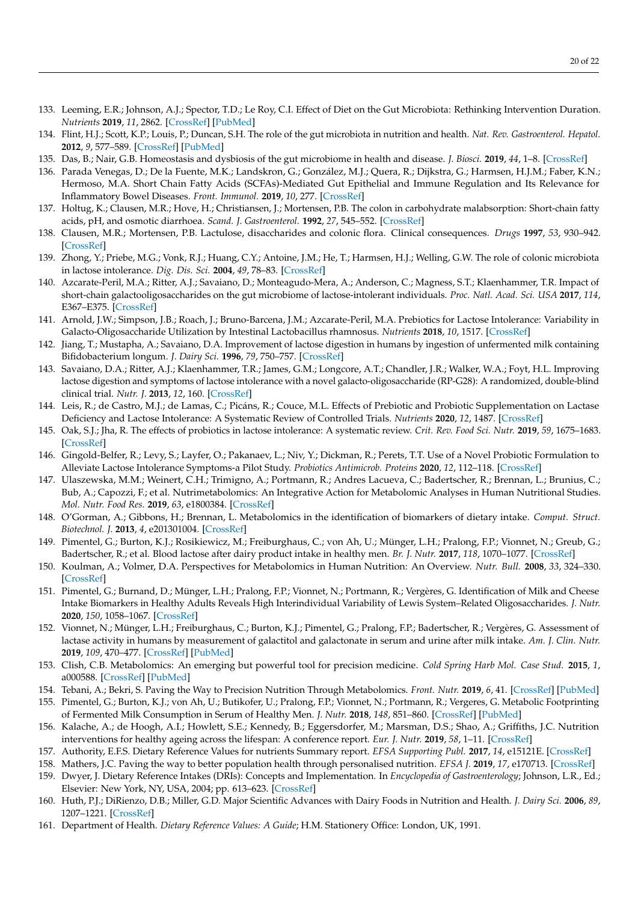- <span id="page-19-0"></span>133. Leeming, E.R.; Johnson, A.J.; Spector, T.D.; Le Roy, C.I. Effect of Diet on the Gut Microbiota: Rethinking Intervention Duration. *Nutrients* **2019**, *11*, 2862. [\[CrossRef\]](http://doi.org/10.3390/nu11122862) [\[PubMed\]](http://www.ncbi.nlm.nih.gov/pubmed/31766592)
- <span id="page-19-1"></span>134. Flint, H.J.; Scott, K.P.; Louis, P.; Duncan, S.H. The role of the gut microbiota in nutrition and health. *Nat. Rev. Gastroenterol. Hepatol.* **2012**, *9*, 577–589. [\[CrossRef\]](http://doi.org/10.1038/nrgastro.2012.156) [\[PubMed\]](http://www.ncbi.nlm.nih.gov/pubmed/22945443)
- <span id="page-19-2"></span>135. Das, B.; Nair, G.B. Homeostasis and dysbiosis of the gut microbiome in health and disease. *J. Biosci.* **2019**, *44*, 1–8. [\[CrossRef\]](http://doi.org/10.1007/s12038-019-9926-y)
- <span id="page-19-3"></span>136. Parada Venegas, D.; De la Fuente, M.K.; Landskron, G.; González, M.J.; Quera, R.; Dijkstra, G.; Harmsen, H.J.M.; Faber, K.N.; Hermoso, M.A. Short Chain Fatty Acids (SCFAs)-Mediated Gut Epithelial and Immune Regulation and Its Relevance for Inflammatory Bowel Diseases. *Front. Immunol.* **2019**, *10*, 277. [\[CrossRef\]](http://doi.org/10.3389/fimmu.2019.00277)
- <span id="page-19-4"></span>137. Holtug, K.; Clausen, M.R.; Hove, H.; Christiansen, J.; Mortensen, P.B. The colon in carbohydrate malabsorption: Short-chain fatty acids, pH, and osmotic diarrhoea. *Scand. J. Gastroenterol.* **1992**, *27*, 545–552. [\[CrossRef\]](http://doi.org/10.3109/00365529209000118)
- <span id="page-19-5"></span>138. Clausen, M.R.; Mortensen, P.B. Lactulose, disaccharides and colonic flora. Clinical consequences. *Drugs* **1997**, *53*, 930–942. [\[CrossRef\]](http://doi.org/10.2165/00003495-199753060-00003)
- <span id="page-19-6"></span>139. Zhong, Y.; Priebe, M.G.; Vonk, R.J.; Huang, C.Y.; Antoine, J.M.; He, T.; Harmsen, H.J.; Welling, G.W. The role of colonic microbiota in lactose intolerance. *Dig. Dis. Sci.* **2004**, *49*, 78–83. [\[CrossRef\]](http://doi.org/10.1023/B:DDAS.0000011606.96795.40)
- <span id="page-19-7"></span>140. Azcarate-Peril, M.A.; Ritter, A.J.; Savaiano, D.; Monteagudo-Mera, A.; Anderson, C.; Magness, S.T.; Klaenhammer, T.R. Impact of short-chain galactooligosaccharides on the gut microbiome of lactose-intolerant individuals. *Proc. Natl. Acad. Sci. USA* **2017**, *114*, E367–E375. [\[CrossRef\]](http://doi.org/10.1073/pnas.1606722113)
- <span id="page-19-8"></span>141. Arnold, J.W.; Simpson, J.B.; Roach, J.; Bruno-Barcena, J.M.; Azcarate-Peril, M.A. Prebiotics for Lactose Intolerance: Variability in Galacto-Oligosaccharide Utilization by Intestinal Lactobacillus rhamnosus. *Nutrients* **2018**, *10*, 1517. [\[CrossRef\]](http://doi.org/10.3390/nu10101517)
- <span id="page-19-9"></span>142. Jiang, T.; Mustapha, A.; Savaiano, D.A. Improvement of lactose digestion in humans by ingestion of unfermented milk containing Bifidobacterium longum. *J. Dairy Sci.* **1996**, *79*, 750–757. [\[CrossRef\]](http://doi.org/10.3168/jds.S0022-0302(96)76422-6)
- <span id="page-19-10"></span>143. Savaiano, D.A.; Ritter, A.J.; Klaenhammer, T.R.; James, G.M.; Longcore, A.T.; Chandler, J.R.; Walker, W.A.; Foyt, H.L. Improving lactose digestion and symptoms of lactose intolerance with a novel galacto-oligosaccharide (RP-G28): A randomized, double-blind clinical trial. *Nutr. J.* **2013**, *12*, 160. [\[CrossRef\]](http://doi.org/10.1186/1475-2891-12-160)
- <span id="page-19-11"></span>144. Leis, R.; de Castro, M.J.; de Lamas, C.; Picáns, R.; Couce, M.L. Effects of Prebiotic and Probiotic Supplementation on Lactase Deficiency and Lactose Intolerance: A Systematic Review of Controlled Trials. *Nutrients* **2020**, *12*, 1487. [\[CrossRef\]](http://doi.org/10.3390/nu12051487)
- <span id="page-19-12"></span>145. Oak, S.J.; Jha, R. The effects of probiotics in lactose intolerance: A systematic review. *Crit. Rev. Food Sci. Nutr.* **2019**, *59*, 1675–1683. [\[CrossRef\]](http://doi.org/10.1080/10408398.2018.1425977)
- <span id="page-19-13"></span>146. Gingold-Belfer, R.; Levy, S.; Layfer, O.; Pakanaev, L.; Niv, Y.; Dickman, R.; Perets, T.T. Use of a Novel Probiotic Formulation to Alleviate Lactose Intolerance Symptoms-a Pilot Study. *Probiotics Antimicrob. Proteins* **2020**, *12*, 112–118. [\[CrossRef\]](http://doi.org/10.1007/s12602-018-9507-7)
- <span id="page-19-14"></span>147. Ulaszewska, M.M.; Weinert, C.H.; Trimigno, A.; Portmann, R.; Andres Lacueva, C.; Badertscher, R.; Brennan, L.; Brunius, C.; Bub, A.; Capozzi, F.; et al. Nutrimetabolomics: An Integrative Action for Metabolomic Analyses in Human Nutritional Studies. *Mol. Nutr. Food Res.* **2019**, *63*, e1800384. [\[CrossRef\]](http://doi.org/10.1002/mnfr.201800384)
- <span id="page-19-15"></span>148. O'Gorman, A.; Gibbons, H.; Brennan, L. Metabolomics in the identification of biomarkers of dietary intake. *Comput. Struct. Biotechnol. J.* **2013**, *4*, e201301004. [\[CrossRef\]](http://doi.org/10.5936/csbj.201301004)
- <span id="page-19-16"></span>149. Pimentel, G.; Burton, K.J.; Rosikiewicz, M.; Freiburghaus, C.; von Ah, U.; Münger, L.H.; Pralong, F.P.; Vionnet, N.; Greub, G.; Badertscher, R.; et al. Blood lactose after dairy product intake in healthy men. *Br. J. Nutr.* **2017**, *118*, 1070–1077. [\[CrossRef\]](http://doi.org/10.1017/S0007114517003245)
- <span id="page-19-17"></span>150. Koulman, A.; Volmer, D.A. Perspectives for Metabolomics in Human Nutrition: An Overview. *Nutr. Bull.* **2008**, *33*, 324–330. [\[CrossRef\]](http://doi.org/10.1111/j.1467-3010.2008.00733.x)
- <span id="page-19-18"></span>151. Pimentel, G.; Burnand, D.; Münger, L.H.; Pralong, F.P.; Vionnet, N.; Portmann, R.; Vergères, G. Identification of Milk and Cheese Intake Biomarkers in Healthy Adults Reveals High Interindividual Variability of Lewis System–Related Oligosaccharides. *J. Nutr.* **2020**, *150*, 1058–1067. [\[CrossRef\]](http://doi.org/10.1093/jn/nxaa029)
- <span id="page-19-19"></span>152. Vionnet, N.; Münger, L.H.; Freiburghaus, C.; Burton, K.J.; Pimentel, G.; Pralong, F.P.; Badertscher, R.; Vergères, G. Assessment of lactase activity in humans by measurement of galactitol and galactonate in serum and urine after milk intake. *Am. J. Clin. Nutr.* **2019**, *109*, 470–477. [\[CrossRef\]](http://doi.org/10.1093/ajcn/nqy296) [\[PubMed\]](http://www.ncbi.nlm.nih.gov/pubmed/30721917)
- <span id="page-19-20"></span>153. Clish, C.B. Metabolomics: An emerging but powerful tool for precision medicine. *Cold Spring Harb Mol. Case Stud.* **2015**, *1*, a000588. [\[CrossRef\]](http://doi.org/10.1101/mcs.a000588) [\[PubMed\]](http://www.ncbi.nlm.nih.gov/pubmed/27148576)
- <span id="page-19-21"></span>154. Tebani, A.; Bekri, S. Paving the Way to Precision Nutrition Through Metabolomics. *Front. Nutr.* **2019**, *6*, 41. [\[CrossRef\]](http://doi.org/10.3389/fnut.2019.00041) [\[PubMed\]](http://www.ncbi.nlm.nih.gov/pubmed/31024923)
- <span id="page-19-22"></span>155. Pimentel, G.; Burton, K.J.; von Ah, U.; Butikofer, U.; Pralong, F.P.; Vionnet, N.; Portmann, R.; Vergeres, G. Metabolic Footprinting of Fermented Milk Consumption in Serum of Healthy Men. *J. Nutr.* **2018**, *148*, 851–860. [\[CrossRef\]](http://doi.org/10.1093/jn/nxy053) [\[PubMed\]](http://www.ncbi.nlm.nih.gov/pubmed/29788433)
- <span id="page-19-23"></span>156. Kalache, A.; de Hoogh, A.I.; Howlett, S.E.; Kennedy, B.; Eggersdorfer, M.; Marsman, D.S.; Shao, A.; Griffiths, J.C. Nutrition interventions for healthy ageing across the lifespan: A conference report. *Eur. J. Nutr.* **2019**, *58*, 1–11. [\[CrossRef\]](http://doi.org/10.1007/s00394-019-02027-z)
- <span id="page-19-24"></span>157. Authority, E.F.S. Dietary Reference Values for nutrients Summary report. *EFSA Supporting Publ.* **2017**, *14*, e15121E. [\[CrossRef\]](http://doi.org/10.2903/sp.efsa.2017.e15121)
- <span id="page-19-25"></span>158. Mathers, J.C. Paving the way to better population health through personalised nutrition. *EFSA J.* **2019**, *17*, e170713. [\[CrossRef\]](http://doi.org/10.2903/j.efsa.2019.e170713)
- <span id="page-19-26"></span>159. Dwyer, J. Dietary Reference Intakes (DRIs): Concepts and Implementation. In *Encyclopedia of Gastroenterology*; Johnson, L.R., Ed.; Elsevier: New York, NY, USA, 2004; pp. 613–623. [\[CrossRef\]](http://doi.org/10.1016/B0-12-386860-2/00613-4)
- <span id="page-19-27"></span>160. Huth, P.J.; DiRienzo, D.B.; Miller, G.D. Major Scientific Advances with Dairy Foods in Nutrition and Health. *J. Dairy Sci.* **2006**, *89*, 1207–1221. [\[CrossRef\]](http://doi.org/10.3168/jds.S0022-0302(06)72190-7)
- <span id="page-19-28"></span>161. Department of Health. *Dietary Reference Values: A Guide*; H.M. Stationery Office: London, UK, 1991.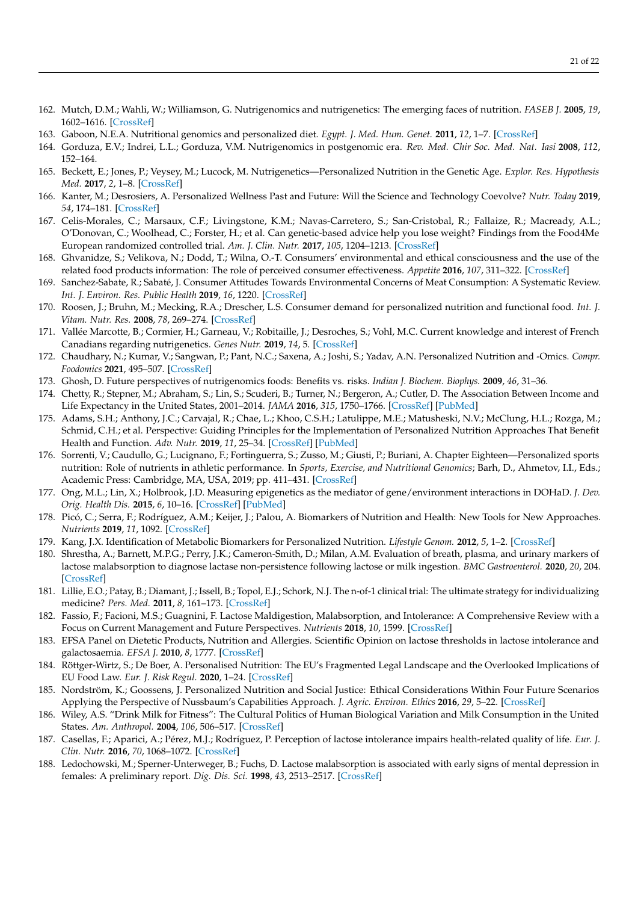- <span id="page-20-0"></span>162. Mutch, D.M.; Wahli, W.; Williamson, G. Nutrigenomics and nutrigenetics: The emerging faces of nutrition. *FASEB J.* **2005**, *19*, 1602–1616. [\[CrossRef\]](http://doi.org/10.1096/fj.05-3911rev)
- <span id="page-20-1"></span>163. Gaboon, N.E.A. Nutritional genomics and personalized diet. *Egypt. J. Med. Hum. Genet.* **2011**, *12*, 1–7. [\[CrossRef\]](http://doi.org/10.1016/j.ejmhg.2011.02.001)
- <span id="page-20-2"></span>164. Gorduza, E.V.; Indrei, L.L.; Gorduza, V.M. Nutrigenomics in postgenomic era. *Rev. Med. Chir Soc. Med. Nat. Iasi* **2008**, *112*, 152–164.
- <span id="page-20-3"></span>165. Beckett, E.; Jones, P.; Veysey, M.; Lucock, M. Nutrigenetics—Personalized Nutrition in the Genetic Age. *Explor. Res. Hypothesis Med.* **2017**, *2*, 1–8. [\[CrossRef\]](http://doi.org/10.14218/ERHM.2017.00027)
- <span id="page-20-4"></span>166. Kanter, M.; Desrosiers, A. Personalized Wellness Past and Future: Will the Science and Technology Coevolve? *Nutr. Today* **2019**, *54*, 174–181. [\[CrossRef\]](http://doi.org/10.1097/NT.0000000000000354)
- <span id="page-20-5"></span>167. Celis-Morales, C.; Marsaux, C.F.; Livingstone, K.M.; Navas-Carretero, S.; San-Cristobal, R.; Fallaize, R.; Macready, A.L.; O'Donovan, C.; Woolhead, C.; Forster, H.; et al. Can genetic-based advice help you lose weight? Findings from the Food4Me European randomized controlled trial. *Am. J. Clin. Nutr.* **2017**, *105*, 1204–1213. [\[CrossRef\]](http://doi.org/10.3945/ajcn.116.145680)
- <span id="page-20-6"></span>168. Ghvanidze, S.; Velikova, N.; Dodd, T.; Wilna, O.-T. Consumers' environmental and ethical consciousness and the use of the related food products information: The role of perceived consumer effectiveness. *Appetite* **2016**, *107*, 311–322. [\[CrossRef\]](http://doi.org/10.1016/j.appet.2016.08.097)
- <span id="page-20-7"></span>169. Sanchez-Sabate, R.; Sabaté, J. Consumer Attitudes Towards Environmental Concerns of Meat Consumption: A Systematic Review. *Int. J. Environ. Res. Public Health* **2019**, *16*, 1220. [\[CrossRef\]](http://doi.org/10.3390/ijerph16071220)
- <span id="page-20-8"></span>170. Roosen, J.; Bruhn, M.; Mecking, R.A.; Drescher, L.S. Consumer demand for personalized nutrition and functional food. *Int. J. Vitam. Nutr. Res.* **2008**, *78*, 269–274. [\[CrossRef\]](http://doi.org/10.1024/0300-9831.78.6.269)
- <span id="page-20-9"></span>171. Vallée Marcotte, B.; Cormier, H.; Garneau, V.; Robitaille, J.; Desroches, S.; Vohl, M.C. Current knowledge and interest of French Canadians regarding nutrigenetics. *Genes Nutr.* **2019**, *14*, 5. [\[CrossRef\]](http://doi.org/10.1186/s12263-019-0629-7)
- <span id="page-20-10"></span>172. Chaudhary, N.; Kumar, V.; Sangwan, P.; Pant, N.C.; Saxena, A.; Joshi, S.; Yadav, A.N. Personalized Nutrition and -Omics. *Compr. Foodomics* **2021**, 495–507. [\[CrossRef\]](http://doi.org/10.1016/B978-0-08-100596-5.22880-1)
- <span id="page-20-11"></span>173. Ghosh, D. Future perspectives of nutrigenomics foods: Benefits vs. risks. *Indian J. Biochem. Biophys.* **2009**, *46*, 31–36.
- <span id="page-20-12"></span>174. Chetty, R.; Stepner, M.; Abraham, S.; Lin, S.; Scuderi, B.; Turner, N.; Bergeron, A.; Cutler, D. The Association Between Income and Life Expectancy in the United States, 2001–2014. *JAMA* **2016**, *315*, 1750–1766. [\[CrossRef\]](http://doi.org/10.1001/jama.2016.4226) [\[PubMed\]](http://www.ncbi.nlm.nih.gov/pubmed/27063997)
- <span id="page-20-13"></span>175. Adams, S.H.; Anthony, J.C.; Carvajal, R.; Chae, L.; Khoo, C.S.H.; Latulippe, M.E.; Matusheski, N.V.; McClung, H.L.; Rozga, M.; Schmid, C.H.; et al. Perspective: Guiding Principles for the Implementation of Personalized Nutrition Approaches That Benefit Health and Function. *Adv. Nutr.* **2019**, *11*, 25–34. [\[CrossRef\]](http://doi.org/10.1093/advances/nmz086) [\[PubMed\]](http://www.ncbi.nlm.nih.gov/pubmed/31504115)
- <span id="page-20-14"></span>176. Sorrenti, V.; Caudullo, G.; Lucignano, F.; Fortinguerra, S.; Zusso, M.; Giusti, P.; Buriani, A. Chapter Eighteen—Personalized sports nutrition: Role of nutrients in athletic performance. In *Sports, Exercise, and Nutritional Genomics*; Barh, D., Ahmetov, I.I., Eds.; Academic Press: Cambridge, MA, USA, 2019; pp. 411–431. [\[CrossRef\]](http://doi.org/10.1016/B978-0-12-816193-7.00018-X)
- <span id="page-20-15"></span>177. Ong, M.L.; Lin, X.; Holbrook, J.D. Measuring epigenetics as the mediator of gene/environment interactions in DOHaD. *J. Dev. Orig. Health Dis.* **2015**, *6*, 10–16. [\[CrossRef\]](http://doi.org/10.1017/S2040174414000506) [\[PubMed\]](http://www.ncbi.nlm.nih.gov/pubmed/25315715)
- <span id="page-20-16"></span>178. Picó, C.; Serra, F.; Rodríguez, A.M.; Keijer, J.; Palou, A. Biomarkers of Nutrition and Health: New Tools for New Approaches. *Nutrients* **2019**, *11*, 1092. [\[CrossRef\]](http://doi.org/10.3390/nu11051092)
- <span id="page-20-17"></span>179. Kang, J.X. Identification of Metabolic Biomarkers for Personalized Nutrition. *Lifestyle Genom.* **2012**, *5*, 1–2. [\[CrossRef\]](http://doi.org/10.1159/000342702)
- <span id="page-20-18"></span>180. Shrestha, A.; Barnett, M.P.G.; Perry, J.K.; Cameron-Smith, D.; Milan, A.M. Evaluation of breath, plasma, and urinary markers of lactose malabsorption to diagnose lactase non-persistence following lactose or milk ingestion. *BMC Gastroenterol.* **2020**, *20*, 204. [\[CrossRef\]](http://doi.org/10.1186/s12876-020-01352-6)
- <span id="page-20-19"></span>181. Lillie, E.O.; Patay, B.; Diamant, J.; Issell, B.; Topol, E.J.; Schork, N.J. The n-of-1 clinical trial: The ultimate strategy for individualizing medicine? *Pers. Med.* **2011**, *8*, 161–173. [\[CrossRef\]](http://doi.org/10.2217/pme.11.7)
- <span id="page-20-20"></span>182. Fassio, F.; Facioni, M.S.; Guagnini, F. Lactose Maldigestion, Malabsorption, and Intolerance: A Comprehensive Review with a Focus on Current Management and Future Perspectives. *Nutrients* **2018**, *10*, 1599. [\[CrossRef\]](http://doi.org/10.3390/nu10111599)
- <span id="page-20-21"></span>183. EFSA Panel on Dietetic Products, Nutrition and Allergies. Scientific Opinion on lactose thresholds in lactose intolerance and galactosaemia. *EFSA J.* **2010**, *8*, 1777. [\[CrossRef\]](http://doi.org/10.2903/j.efsa.2010.1777)
- <span id="page-20-22"></span>184. Röttger-Wirtz, S.; De Boer, A. Personalised Nutrition: The EU's Fragmented Legal Landscape and the Overlooked Implications of EU Food Law. *Eur. J. Risk Regul.* **2020**, 1–24. [\[CrossRef\]](http://doi.org/10.1017/err.2020.79)
- <span id="page-20-23"></span>185. Nordström, K.; Goossens, J. Personalized Nutrition and Social Justice: Ethical Considerations Within Four Future Scenarios Applying the Perspective of Nussbaum's Capabilities Approach. *J. Agric. Environ. Ethics* **2016**, *29*, 5–22. [\[CrossRef\]](http://doi.org/10.1007/s10806-015-9589-0)
- <span id="page-20-24"></span>186. Wiley, A.S. "Drink Milk for Fitness": The Cultural Politics of Human Biological Variation and Milk Consumption in the United States. *Am. Anthropol.* **2004**, *106*, 506–517. [\[CrossRef\]](http://doi.org/10.1525/aa.2004.106.3.506)
- <span id="page-20-25"></span>187. Casellas, F.; Aparici, A.; Pérez, M.J.; Rodríguez, P. Perception of lactose intolerance impairs health-related quality of life. *Eur. J. Clin. Nutr.* **2016**, *70*, 1068–1072. [\[CrossRef\]](http://doi.org/10.1038/ejcn.2016.80)
- <span id="page-20-26"></span>188. Ledochowski, M.; Sperner-Unterweger, B.; Fuchs, D. Lactose malabsorption is associated with early signs of mental depression in females: A preliminary report. *Dig. Dis. Sci.* **1998**, *43*, 2513–2517. [\[CrossRef\]](http://doi.org/10.1023/A:1026654820461)